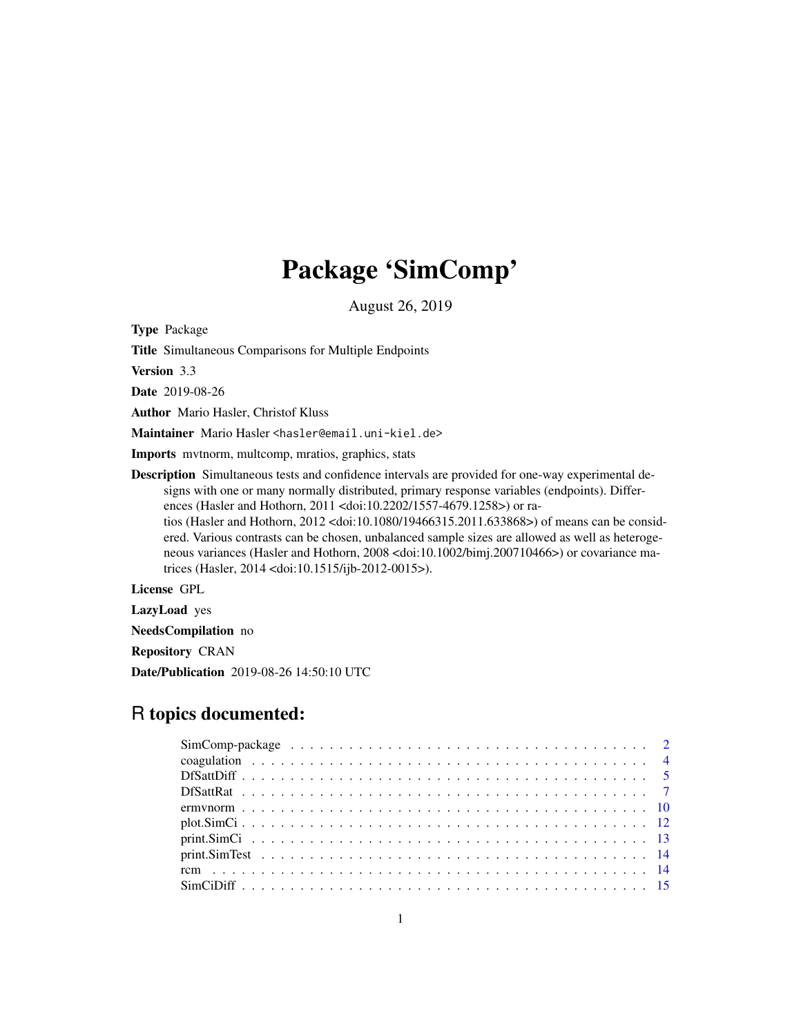# Package 'SimComp'

August 26, 2019

<span id="page-0-0"></span>Type Package

Title Simultaneous Comparisons for Multiple Endpoints

Version 3.3

Date 2019-08-26

Author Mario Hasler, Christof Kluss

Maintainer Mario Hasler <hasler@email.uni-kiel.de>

Imports mvtnorm, multcomp, mratios, graphics, stats

Description Simultaneous tests and confidence intervals are provided for one-way experimental designs with one or many normally distributed, primary response variables (endpoints). Differences (Hasler and Hothorn, 2011 <doi:10.2202/1557-4679.1258>) or ra-

tios (Hasler and Hothorn, 2012 <doi:10.1080/19466315.2011.633868>) of means can be considered. Various contrasts can be chosen, unbalanced sample sizes are allowed as well as heterogeneous variances (Hasler and Hothorn, 2008 <doi:10.1002/bimj.200710466>) or covariance matrices (Hasler, 2014 <doi:10.1515/ijb-2012-0015>).

License GPL

LazyLoad yes

NeedsCompilation no

Repository CRAN

Date/Publication 2019-08-26 14:50:10 UTC

# R topics documented: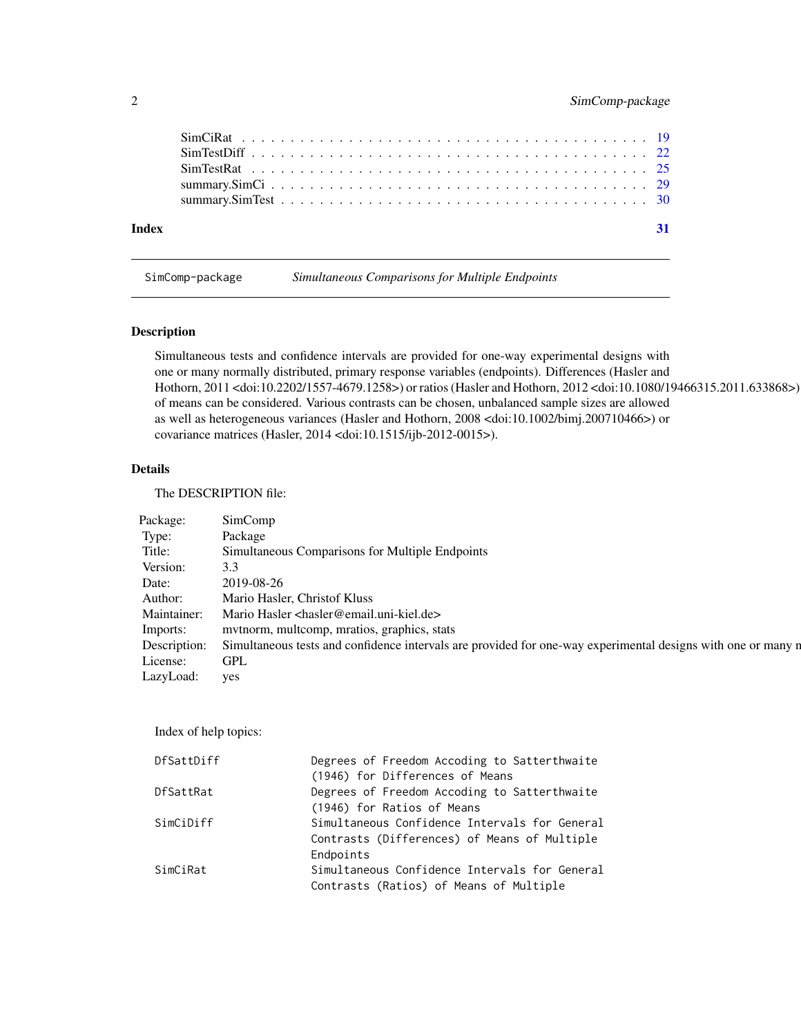# <span id="page-1-0"></span>2 SimComp-package

| Index | $\sqrt{31}$ |
|-------|-------------|

SimComp-package *Simultaneous Comparisons for Multiple Endpoints*

# Description

Simultaneous tests and confidence intervals are provided for one-way experimental designs with one or many normally distributed, primary response variables (endpoints). Differences (Hasler and Hothorn, 2011 <doi:10.2202/1557-4679.1258>) or ratios (Hasler and Hothorn, 2012 <doi:10.1080/19466315.2011.633868>) of means can be considered. Various contrasts can be chosen, unbalanced sample sizes are allowed as well as heterogeneous variances (Hasler and Hothorn, 2008 <doi:10.1002/bimj.200710466>) or covariance matrices (Hasler, 2014 <doi:10.1515/ijb-2012-0015>).

# Details

The DESCRIPTION file:

| Package: SimComp |                                                                                                                           |
|------------------|---------------------------------------------------------------------------------------------------------------------------|
| Type: Package    |                                                                                                                           |
|                  | Title: Simultaneous Comparisons for Multiple Endpoints                                                                    |
| Version: 3.3     |                                                                                                                           |
| Date: 2019-08-26 |                                                                                                                           |
|                  | Author: Mario Hasler, Christof Kluss                                                                                      |
|                  | Maintainer: Mario Hasler <hasler@email.uni-kiel.de></hasler@email.uni-kiel.de>                                            |
|                  | Imports: mvtnorm, multcomp, mratios, graphics, stats                                                                      |
|                  | Description: Simultaneous tests and confidence intervals are provided for one-way experimental designs with one or many n |
| License: GPL     |                                                                                                                           |
| LazyLoad: yes    |                                                                                                                           |

Index of help topics:

| Degrees of Freedom Accoding to Satterthwaite  |
|-----------------------------------------------|
| (1946) for Differences of Means               |
| Degrees of Freedom Accoding to Satterthwaite  |
| (1946) for Ratios of Means                    |
| Simultaneous Confidence Intervals for General |
| Contrasts (Differences) of Means of Multiple  |
| Endpoints                                     |
| Simultaneous Confidence Intervals for General |
| Contrasts (Ratios) of Means of Multiple       |
|                                               |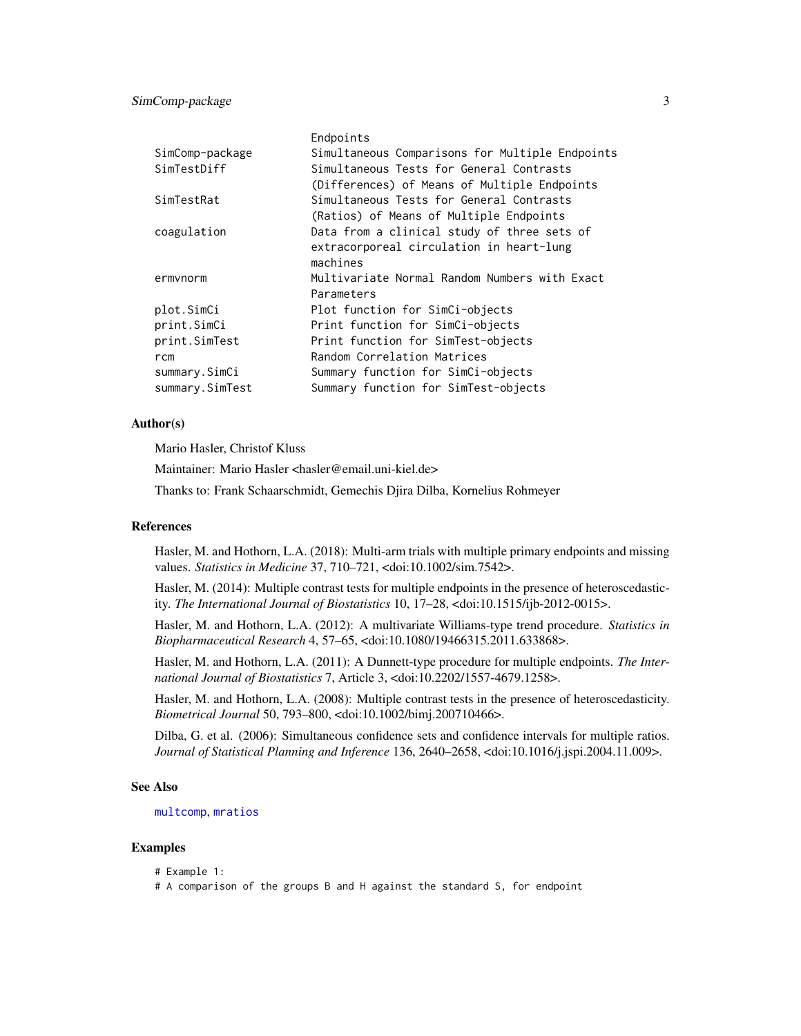<span id="page-2-0"></span>

|                 | Endpoints                                       |
|-----------------|-------------------------------------------------|
| SimComp-package | Simultaneous Comparisons for Multiple Endpoints |
| SimTestDiff     | Simultaneous Tests for General Contrasts        |
|                 | (Differences) of Means of Multiple Endpoints    |
| SimTestRat      | Simultaneous Tests for General Contrasts        |
|                 | (Ratios) of Means of Multiple Endpoints         |
| coagulation     | Data from a clinical study of three sets of     |
|                 | extracorporeal circulation in heart-lung        |
|                 | machines                                        |
| ermynorm        | Multivariate Normal Random Numbers with Exact   |
|                 | Parameters                                      |
| plot.SimCi      | Plot function for SimCi-objects                 |
| print.SimCi     | Print function for SimCi-objects                |
| print.SimTest   | Print function for SimTest-objects              |
| rcm             | Random Correlation Matrices                     |
| summary.SimCi   | Summary function for SimCi-objects              |
| summary.SimTest | Summary function for SimTest-objects            |

#### Author(s)

Mario Hasler, Christof Kluss

Maintainer: Mario Hasler <hasler@email.uni-kiel.de>

Thanks to: Frank Schaarschmidt, Gemechis Djira Dilba, Kornelius Rohmeyer

# References

Hasler, M. and Hothorn, L.A. (2018): Multi-arm trials with multiple primary endpoints and missing values. *Statistics in Medicine* 37, 710–721, <doi:10.1002/sim.7542>.

Hasler, M. (2014): Multiple contrast tests for multiple endpoints in the presence of heteroscedasticity. *The International Journal of Biostatistics* 10, 17–28, <doi:10.1515/ijb-2012-0015>.

Hasler, M. and Hothorn, L.A. (2012): A multivariate Williams-type trend procedure. *Statistics in Biopharmaceutical Research* 4, 57–65, <doi:10.1080/19466315.2011.633868>.

Hasler, M. and Hothorn, L.A. (2011): A Dunnett-type procedure for multiple endpoints. *The International Journal of Biostatistics* 7, Article 3, <doi:10.2202/1557-4679.1258>.

Hasler, M. and Hothorn, L.A. (2008): Multiple contrast tests in the presence of heteroscedasticity. *Biometrical Journal* 50, 793–800, <doi:10.1002/bimj.200710466>.

Dilba, G. et al. (2006): Simultaneous confidence sets and confidence intervals for multiple ratios. *Journal of Statistical Planning and Inference* 136, 2640–2658, <doi:10.1016/j.jspi.2004.11.009>.

#### See Also

[multcomp](#page-0-0), [mratios](#page-0-0)

#### Examples

# Example 1:

# A comparison of the groups B and H against the standard S, for endpoint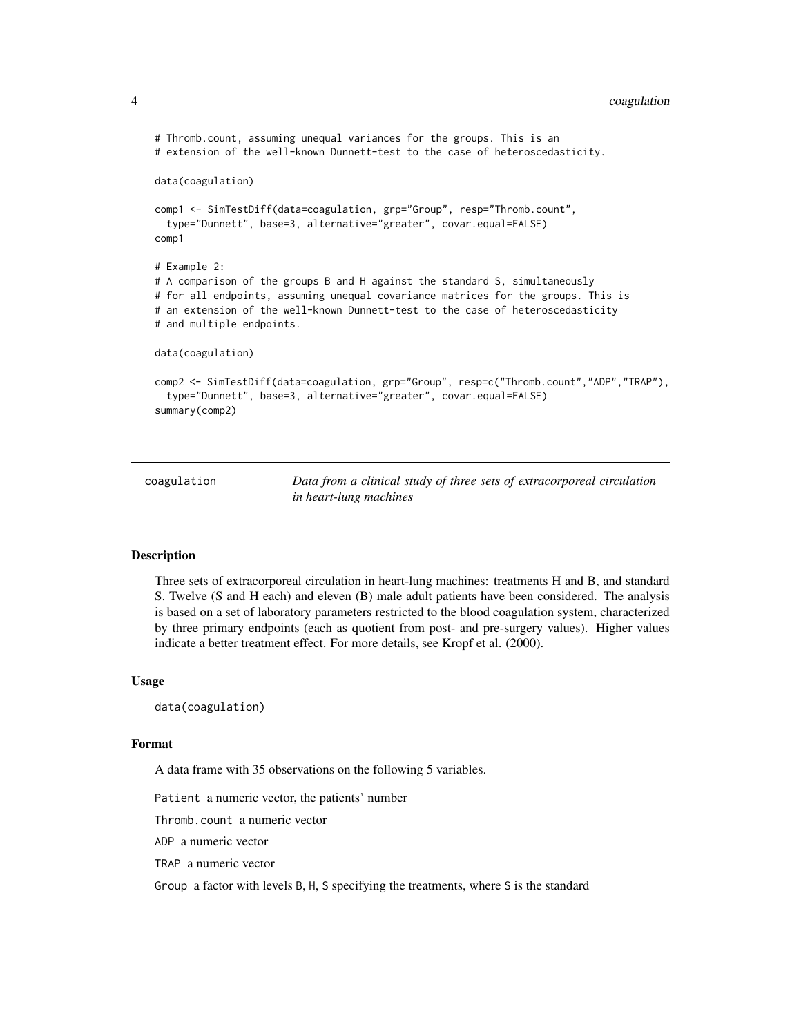### <span id="page-3-0"></span>4 coagulation

```
# Thromb.count, assuming unequal variances for the groups. This is an
# extension of the well-known Dunnett-test to the case of heteroscedasticity.
data(coagulation)
comp1 <- SimTestDiff(data=coagulation, grp="Group", resp="Thromb.count",
 type="Dunnett", base=3, alternative="greater", covar.equal=FALSE)
comp1
# Example 2:
# A comparison of the groups B and H against the standard S, simultaneously
# for all endpoints, assuming unequal covariance matrices for the groups. This is
# an extension of the well-known Dunnett-test to the case of heteroscedasticity
# and multiple endpoints.
data(coagulation)
comp2 <- SimTestDiff(data=coagulation, grp="Group", resp=c("Thromb.count","ADP","TRAP"),
 type="Dunnett", base=3, alternative="greater", covar.equal=FALSE)
summary(comp2)
```
coagulation *Data from a clinical study of three sets of extracorporeal circulation in heart-lung machines*

#### Description

Three sets of extracorporeal circulation in heart-lung machines: treatments H and B, and standard S. Twelve (S and H each) and eleven (B) male adult patients have been considered. The analysis is based on a set of laboratory parameters restricted to the blood coagulation system, characterized by three primary endpoints (each as quotient from post- and pre-surgery values). Higher values indicate a better treatment effect. For more details, see Kropf et al. (2000).

#### Usage

data(coagulation)

#### Format

A data frame with 35 observations on the following 5 variables.

Patient a numeric vector, the patients' number

Thromb.count a numeric vector

ADP a numeric vector

TRAP a numeric vector

Group a factor with levels B, H, S specifying the treatments, where S is the standard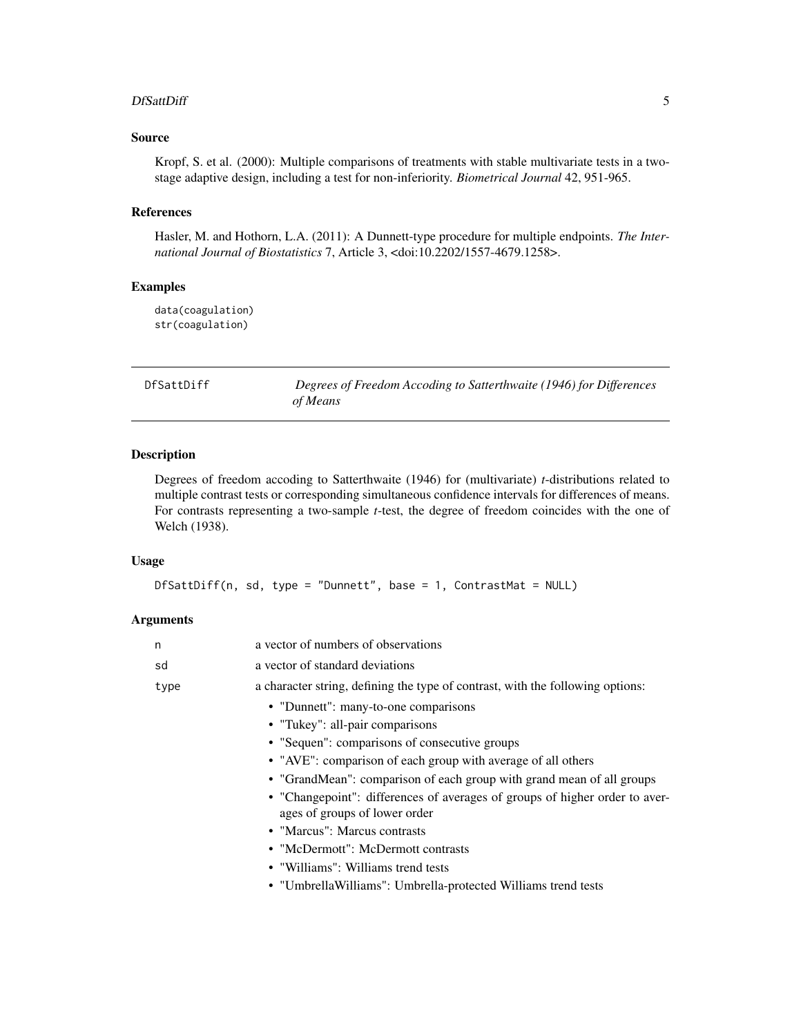#### <span id="page-4-0"></span>DfSattDiff 5

# Source

Kropf, S. et al. (2000): Multiple comparisons of treatments with stable multivariate tests in a twostage adaptive design, including a test for non-inferiority. *Biometrical Journal* 42, 951-965.

#### References

Hasler, M. and Hothorn, L.A. (2011): A Dunnett-type procedure for multiple endpoints. *The International Journal of Biostatistics* 7, Article 3, <doi:10.2202/1557-4679.1258>.

# Examples

data(coagulation) str(coagulation)

<span id="page-4-1"></span>DfSattDiff *Degrees of Freedom Accoding to Satterthwaite (1946) for Differences of Means*

# Description

Degrees of freedom accoding to Satterthwaite (1946) for (multivariate) *t*-distributions related to multiple contrast tests or corresponding simultaneous confidence intervals for differences of means. For contrasts representing a two-sample *t*-test, the degree of freedom coincides with the one of Welch (1938).

# Usage

```
DfSattDiff(n, sd, type = "Dunnett", base = 1, ContrastMat = NULL)
```
# Arguments

| a vector of numbers of observations                                                                          |
|--------------------------------------------------------------------------------------------------------------|
| a vector of standard deviations                                                                              |
| a character string, defining the type of contrast, with the following options:                               |
| • "Dunnett": many-to-one comparisons                                                                         |
| • "Tukey": all-pair comparisons                                                                              |
| • "Sequen": comparisons of consecutive groups                                                                |
| • "AVE": comparison of each group with average of all others                                                 |
| • "GrandMean": comparison of each group with grand mean of all groups                                        |
| • "Changepoint": differences of averages of groups of higher order to aver-<br>ages of groups of lower order |
| • "Marcus": Marcus contrasts                                                                                 |
| • "McDermott": McDermott contrasts                                                                           |
| • "Williams": Williams trend tests                                                                           |
| • "Umbrella Williams": Umbrella-protected Williams trend tests                                               |
|                                                                                                              |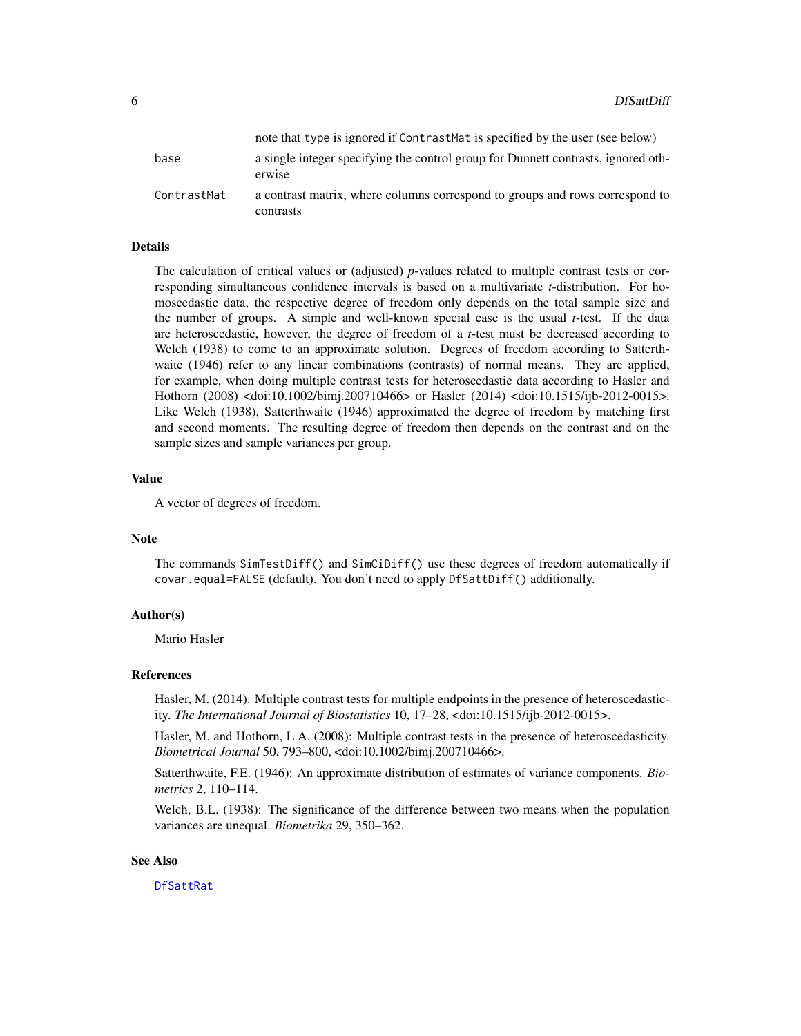<span id="page-5-0"></span>

|             | note that type is ignored if ContrastMat is specified by the user (see below)               |
|-------------|---------------------------------------------------------------------------------------------|
| base        | a single integer specifying the control group for Dunnett contrasts, ignored oth-<br>erwise |
| ContrastMat | a contrast matrix, where columns correspond to groups and rows correspond to<br>contrasts   |

# Details

The calculation of critical values or (adjusted) *p*-values related to multiple contrast tests or corresponding simultaneous confidence intervals is based on a multivariate *t*-distribution. For homoscedastic data, the respective degree of freedom only depends on the total sample size and the number of groups. A simple and well-known special case is the usual *t*-test. If the data are heteroscedastic, however, the degree of freedom of a *t*-test must be decreased according to Welch (1938) to come to an approximate solution. Degrees of freedom according to Satterthwaite (1946) refer to any linear combinations (contrasts) of normal means. They are applied, for example, when doing multiple contrast tests for heteroscedastic data according to Hasler and Hothorn (2008) <doi:10.1002/bimj.200710466> or Hasler (2014) <doi:10.1515/ijb-2012-0015>. Like Welch (1938), Satterthwaite (1946) approximated the degree of freedom by matching first and second moments. The resulting degree of freedom then depends on the contrast and on the sample sizes and sample variances per group.

#### Value

A vector of degrees of freedom.

#### Note

The commands SimTestDiff() and SimCiDiff() use these degrees of freedom automatically if covar.equal=FALSE (default). You don't need to apply DfSattDiff() additionally.

#### Author(s)

Mario Hasler

#### References

Hasler, M. (2014): Multiple contrast tests for multiple endpoints in the presence of heteroscedasticity. *The International Journal of Biostatistics* 10, 17–28, <doi:10.1515/ijb-2012-0015>.

Hasler, M. and Hothorn, L.A. (2008): Multiple contrast tests in the presence of heteroscedasticity. *Biometrical Journal* 50, 793–800, <doi:10.1002/bimj.200710466>.

Satterthwaite, F.E. (1946): An approximate distribution of estimates of variance components. *Biometrics* 2, 110–114.

Welch, B.L. (1938): The significance of the difference between two means when the population variances are unequal. *Biometrika* 29, 350–362.

#### See Also

[DfSattRat](#page-6-1)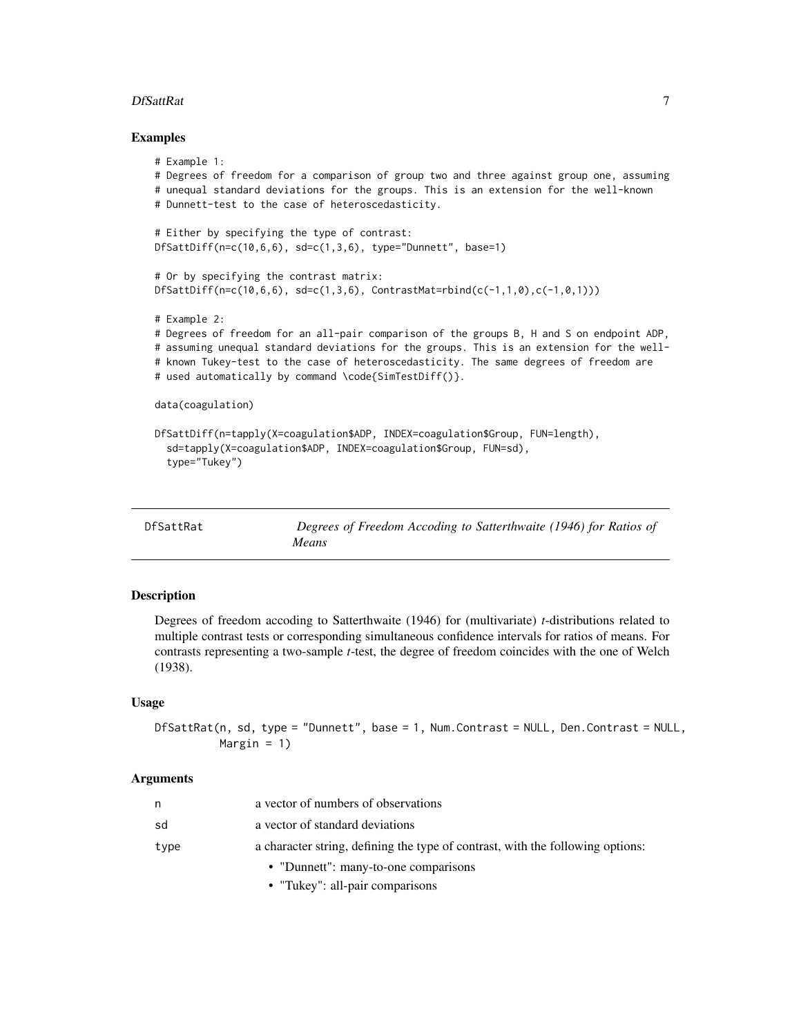#### <span id="page-6-0"></span>DfSattRat 7

#### Examples

```
# Example 1:
# Degrees of freedom for a comparison of group two and three against group one, assuming
# unequal standard deviations for the groups. This is an extension for the well-known
# Dunnett-test to the case of heteroscedasticity.
# Either by specifying the type of contrast:
DfSattDiff(n=c(10,6,6), sd=c(1,3,6), type="Dunnett", base=1)
# Or by specifying the contrast matrix:
DfsatDiff(n=c(10,6,6), sd=c(1,3,6), ContrastMat=rbind(c(-1,1,0),c(-1,0,1)))# Example 2:
# Degrees of freedom for an all-pair comparison of the groups B, H and S on endpoint ADP,
# assuming unequal standard deviations for the groups. This is an extension for the well-
# known Tukey-test to the case of heteroscedasticity. The same degrees of freedom are
# used automatically by command \code{SimTestDiff()}.
data(coagulation)
DfSattDiff(n=tapply(X=coagulation$ADP, INDEX=coagulation$Group, FUN=length),
 sd=tapply(X=coagulation$ADP, INDEX=coagulation$Group, FUN=sd),
 type="Tukey")
```
<span id="page-6-1"></span>

| DfSattRat | Degrees of Freedom Accoding to Satterthwaite (1946) for Ratios of |
|-----------|-------------------------------------------------------------------|
|           | <i>Means</i>                                                      |

### Description

Degrees of freedom accoding to Satterthwaite (1946) for (multivariate) *t*-distributions related to multiple contrast tests or corresponding simultaneous confidence intervals for ratios of means. For contrasts representing a two-sample *t*-test, the degree of freedom coincides with the one of Welch (1938).

#### Usage

```
DfSattRat(n, sd, type = "Dunnett", base = 1, Num.Contrast = NULL, Den.Contrast = NULL,
          Margin = 1)
```
#### **Arguments**

|      | a vector of numbers of observations                                            |
|------|--------------------------------------------------------------------------------|
| sd   | a vector of standard deviations                                                |
| type | a character string, defining the type of contrast, with the following options: |
|      | • "Dunnett": many-to-one comparisons                                           |

• "Tukey": all-pair comparisons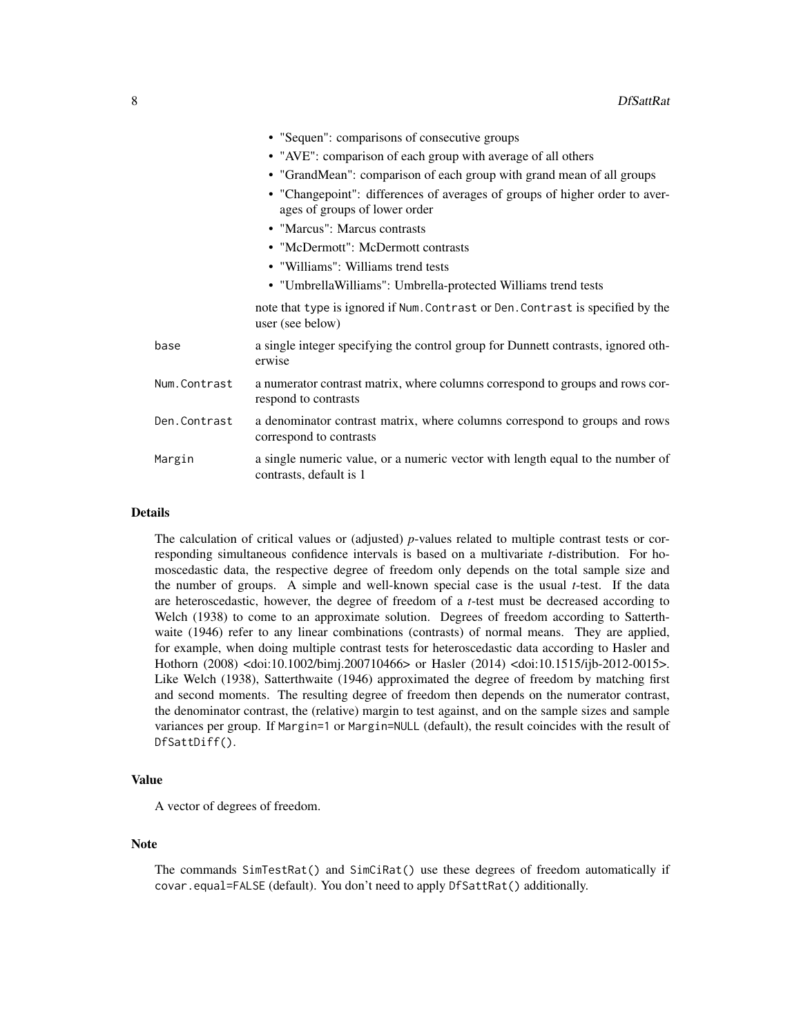|              | • "Sequen": comparisons of consecutive groups                                                                |
|--------------|--------------------------------------------------------------------------------------------------------------|
|              | • "AVE": comparison of each group with average of all others                                                 |
|              | • "GrandMean": comparison of each group with grand mean of all groups                                        |
|              | • "Changepoint": differences of averages of groups of higher order to aver-<br>ages of groups of lower order |
|              | • "Marcus": Marcus contrasts                                                                                 |
|              | • "McDermott": McDermott contrasts                                                                           |
|              | • "Williams": Williams trend tests                                                                           |
|              | • "Umbrella Williams": Umbrella-protected Williams trend tests                                               |
|              | note that type is ignored if Num. Contrast or Den. Contrast is specified by the<br>user (see below)          |
| base         | a single integer specifying the control group for Dunnett contrasts, ignored oth-<br>erwise                  |
| Num.Contrast | a numerator contrast matrix, where columns correspond to groups and rows cor-<br>respond to contrasts        |
| Den.Contrast | a denominator contrast matrix, where columns correspond to groups and rows<br>correspond to contrasts        |
| Margin       | a single numeric value, or a numeric vector with length equal to the number of<br>contrasts, default is 1    |

#### Details

The calculation of critical values or (adjusted) *p*-values related to multiple contrast tests or corresponding simultaneous confidence intervals is based on a multivariate *t*-distribution. For homoscedastic data, the respective degree of freedom only depends on the total sample size and the number of groups. A simple and well-known special case is the usual *t*-test. If the data are heteroscedastic, however, the degree of freedom of a *t*-test must be decreased according to Welch (1938) to come to an approximate solution. Degrees of freedom according to Satterthwaite (1946) refer to any linear combinations (contrasts) of normal means. They are applied, for example, when doing multiple contrast tests for heteroscedastic data according to Hasler and Hothorn (2008) <doi:10.1002/bimj.200710466> or Hasler (2014) <doi:10.1515/ijb-2012-0015>. Like Welch (1938), Satterthwaite (1946) approximated the degree of freedom by matching first and second moments. The resulting degree of freedom then depends on the numerator contrast, the denominator contrast, the (relative) margin to test against, and on the sample sizes and sample variances per group. If Margin=1 or Margin=NULL (default), the result coincides with the result of DfSattDiff().

#### Value

A vector of degrees of freedom.

#### Note

The commands SimTestRat() and SimCiRat() use these degrees of freedom automatically if covar.equal=FALSE (default). You don't need to apply DfSattRat() additionally.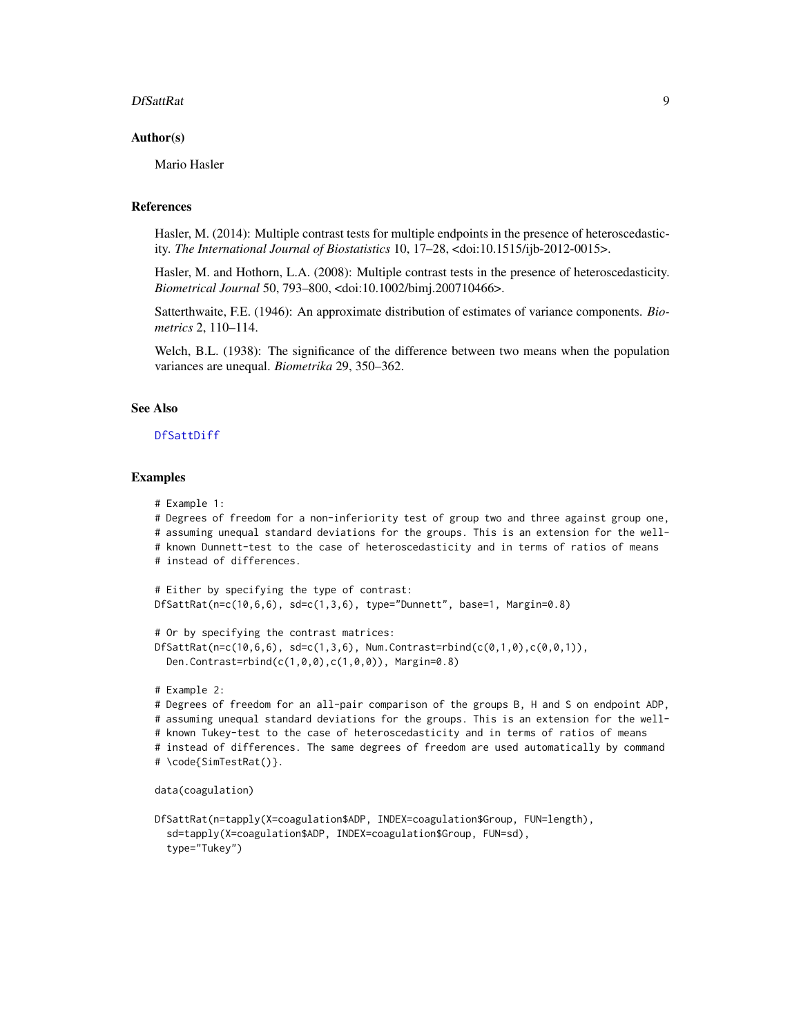#### <span id="page-8-0"></span>DfSattRat 9

#### Author(s)

Mario Hasler

#### References

Hasler, M. (2014): Multiple contrast tests for multiple endpoints in the presence of heteroscedasticity. *The International Journal of Biostatistics* 10, 17–28, <doi:10.1515/ijb-2012-0015>.

Hasler, M. and Hothorn, L.A. (2008): Multiple contrast tests in the presence of heteroscedasticity. *Biometrical Journal* 50, 793–800, <doi:10.1002/bimj.200710466>.

Satterthwaite, F.E. (1946): An approximate distribution of estimates of variance components. *Biometrics* 2, 110–114.

Welch, B.L. (1938): The significance of the difference between two means when the population variances are unequal. *Biometrika* 29, 350–362.

# See Also

#### [DfSattDiff](#page-4-1)

#### Examples

```
# Example 1:
# Degrees of freedom for a non-inferiority test of group two and three against group one,
# assuming unequal standard deviations for the groups. This is an extension for the well-
# known Dunnett-test to the case of heteroscedasticity and in terms of ratios of means
# instead of differences.
# Either by specifying the type of contrast:
DfSattRat(n=c(10,6,6), sd=c(1,3,6), type="Dunnett", base=1, Margin=0.8)
# Or by specifying the contrast matrices:
DfsatRat(n=c(10,6,6), sd=c(1,3,6), Num.Contrast=rbind(c(0,1,0),c(0,0,1)),Den.Contrast=rbind(c(1,0,0),c(1,0,0)), Margin=0.8)
# Example 2:
# Degrees of freedom for an all-pair comparison of the groups B, H and S on endpoint ADP,
# assuming unequal standard deviations for the groups. This is an extension for the well-
# known Tukey-test to the case of heteroscedasticity and in terms of ratios of means
# instead of differences. The same degrees of freedom are used automatically by command
# \code{SimTestRat()}.
data(coagulation)
DfSattRat(n=tapply(X=coagulation$ADP, INDEX=coagulation$Group, FUN=length),
 sd=tapply(X=coagulation$ADP, INDEX=coagulation$Group, FUN=sd),
```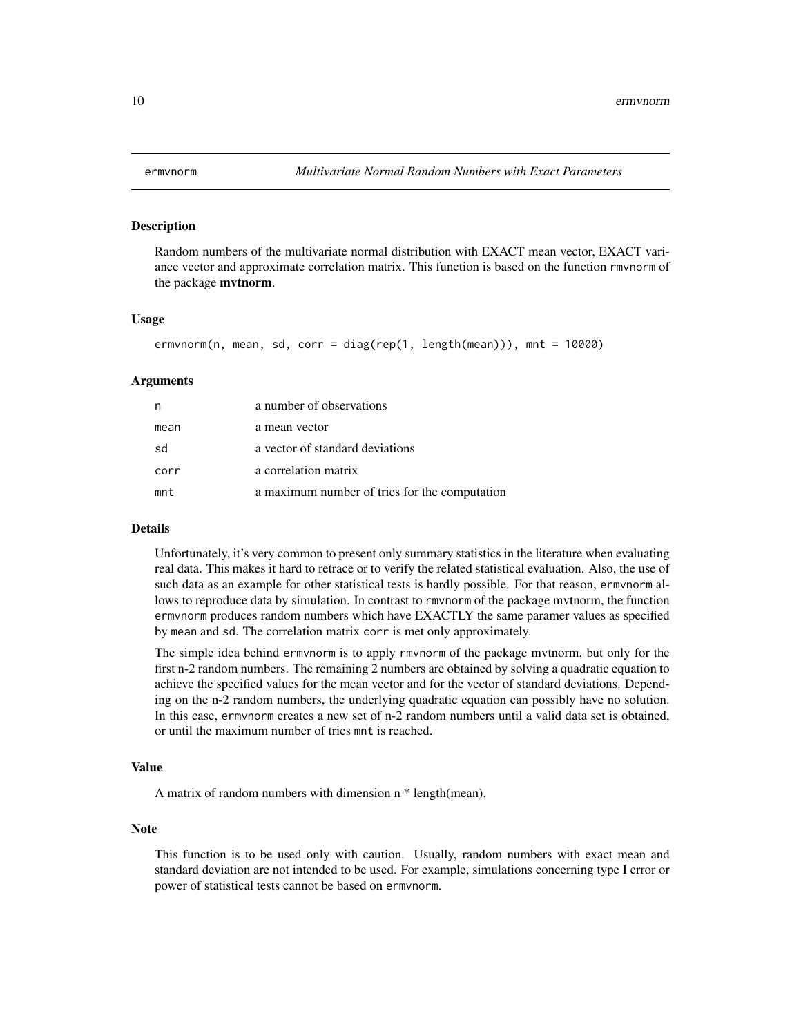#### Description

Random numbers of the multivariate normal distribution with EXACT mean vector, EXACT variance vector and approximate correlation matrix. This function is based on the function rmvnorm of the package mvtnorm.

#### Usage

```
ermvnorm(n, mean, sd, corr = diag(rep(1, length(mean))), mnt = 10000)
```
# Arguments

| n    | a number of observations                      |
|------|-----------------------------------------------|
| mean | a mean vector                                 |
| sd   | a vector of standard deviations               |
| corr | a correlation matrix                          |
| mnt  | a maximum number of tries for the computation |

#### Details

Unfortunately, it's very common to present only summary statistics in the literature when evaluating real data. This makes it hard to retrace or to verify the related statistical evaluation. Also, the use of such data as an example for other statistical tests is hardly possible. For that reason, ermvnorm allows to reproduce data by simulation. In contrast to rmvnorm of the package mvtnorm, the function ermvnorm produces random numbers which have EXACTLY the same paramer values as specified by mean and sd. The correlation matrix corr is met only approximately.

The simple idea behind ermvnorm is to apply rmvnorm of the package mvtnorm, but only for the first n-2 random numbers. The remaining 2 numbers are obtained by solving a quadratic equation to achieve the specified values for the mean vector and for the vector of standard deviations. Depending on the n-2 random numbers, the underlying quadratic equation can possibly have no solution. In this case, ermvnorm creates a new set of n-2 random numbers until a valid data set is obtained, or until the maximum number of tries mnt is reached.

#### Value

A matrix of random numbers with dimension n \* length(mean).

#### Note

This function is to be used only with caution. Usually, random numbers with exact mean and standard deviation are not intended to be used. For example, simulations concerning type I error or power of statistical tests cannot be based on ermvnorm.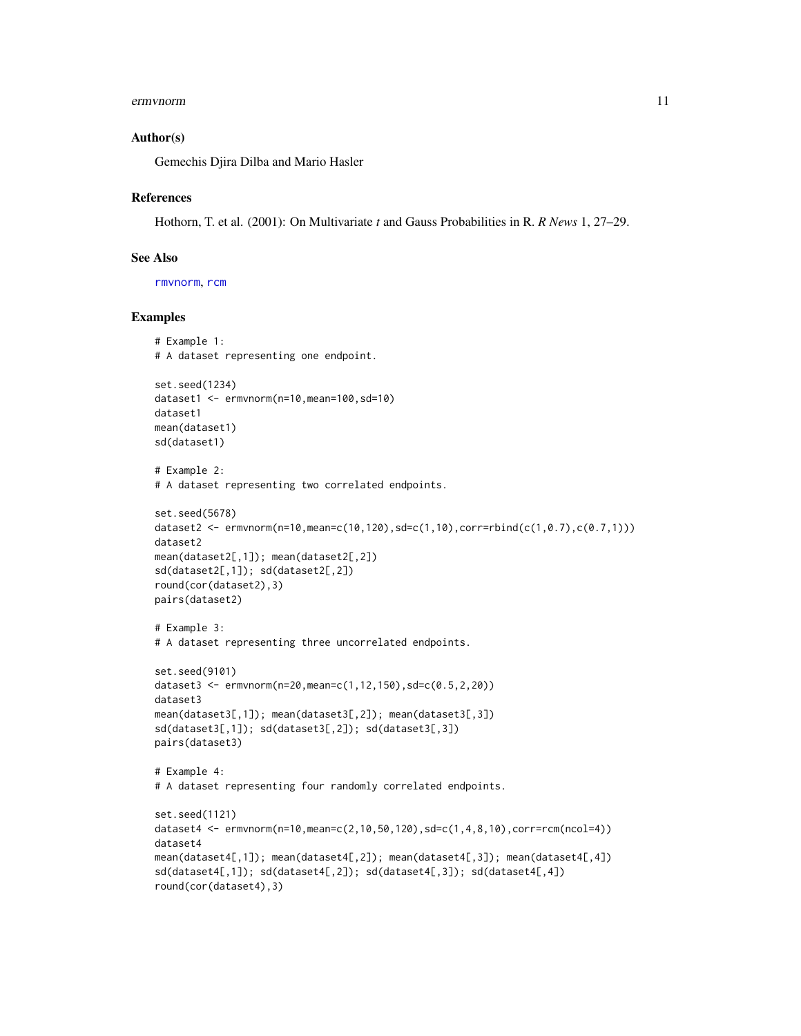#### <span id="page-10-0"></span>ermvnorm 11

#### Author(s)

Gemechis Djira Dilba and Mario Hasler

#### References

Hothorn, T. et al. (2001): On Multivariate *t* and Gauss Probabilities in R. *R News* 1, 27–29.

# See Also

[rmvnorm](#page-0-0), [rcm](#page-13-1)

# Examples

```
# Example 1:
# A dataset representing one endpoint.
set.seed(1234)
dataset1 <- ermvnorm(n=10,mean=100,sd=10)
dataset1
mean(dataset1)
sd(dataset1)
# Example 2:
# A dataset representing two correlated endpoints.
set.seed(5678)
dataset2 <- ermvnorm(n=10,mean=c(10,120),sd=c(1,10),corr=rbind(c(1,0.7),c(0.7,1)))
dataset2
mean(dataset2[,1]); mean(dataset2[,2])
sd(dataset2[,1]); sd(dataset2[,2])
round(cor(dataset2),3)
pairs(dataset2)
# Example 3:
# A dataset representing three uncorrelated endpoints.
set.seed(9101)
dataset3 <- ermvnorm(n=20,mean=c(1,12,150),sd=c(0.5,2,20))
dataset3
mean(dataset3[,1]); mean(dataset3[,2]); mean(dataset3[,3])
sd(dataset3[,1]); sd(dataset3[,2]); sd(dataset3[,3])
pairs(dataset3)
# Example 4:
# A dataset representing four randomly correlated endpoints.
set.seed(1121)
dataset4 <- ermvnorm(n=10,mean=c(2,10,50,120),sd=c(1,4,8,10),corr=rcm(ncol=4))
dataset4
mean(dataset4[,1]); mean(dataset4[,2]); mean(dataset4[,3]); mean(dataset4[,4])
sd(dataset4[,1]); sd(dataset4[,2]); sd(dataset4[,3]); sd(dataset4[,4])
round(cor(dataset4),3)
```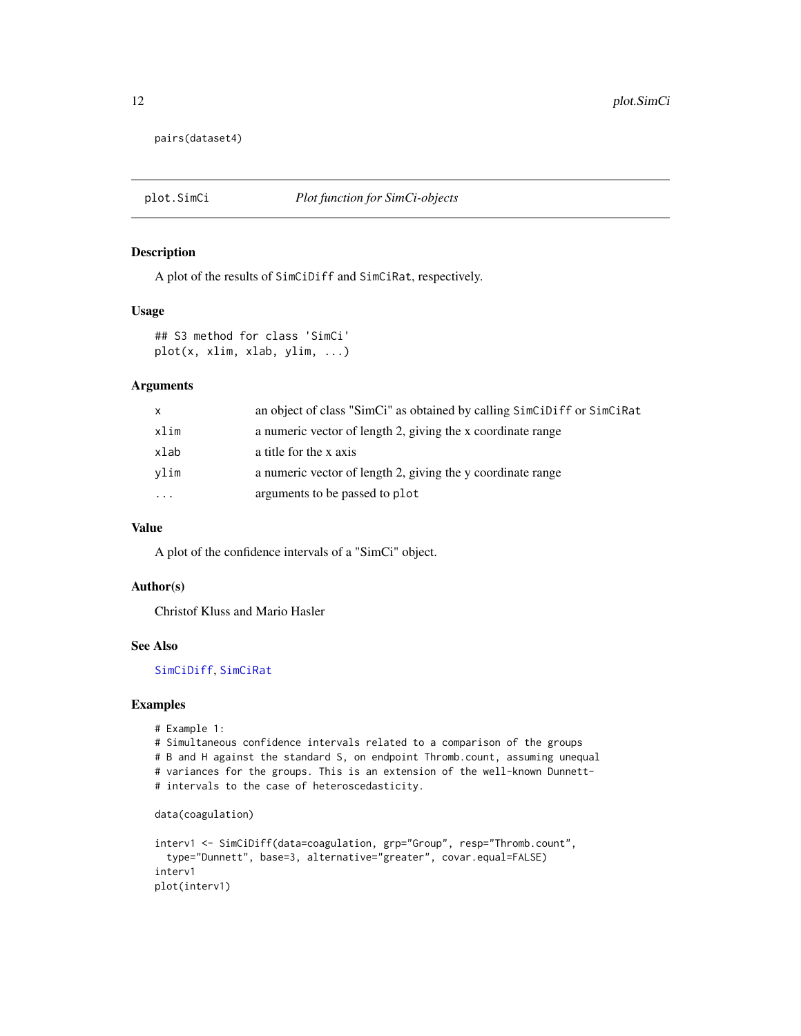<span id="page-11-0"></span>pairs(dataset4)

# Description

A plot of the results of SimCiDiff and SimCiRat, respectively.

#### Usage

```
## S3 method for class 'SimCi'
plot(x, xlim, xlab, ylim, ...)
```
#### Arguments

| <b>X</b> | an object of class "SimCi" as obtained by calling SimCiDiff or SimCiRat |
|----------|-------------------------------------------------------------------------|
| xlim     | a numeric vector of length 2, giving the x coordinate range             |
| xlab     | a title for the x axis                                                  |
| vlim     | a numeric vector of length 2, giving the y coordinate range             |
| $\cdots$ | arguments to be passed to plot                                          |

#### Value

A plot of the confidence intervals of a "SimCi" object.

#### Author(s)

Christof Kluss and Mario Hasler

### See Also

[SimCiDiff](#page-14-1), [SimCiRat](#page-18-1)

# Examples

```
# Example 1:
```
# Simultaneous confidence intervals related to a comparison of the groups # B and H against the standard S, on endpoint Thromb.count, assuming unequal # variances for the groups. This is an extension of the well-known Dunnett- # intervals to the case of heteroscedasticity.

```
data(coagulation)
```

```
interv1 <- SimCiDiff(data=coagulation, grp="Group", resp="Thromb.count",
 type="Dunnett", base=3, alternative="greater", covar.equal=FALSE)
interv1
plot(interv1)
```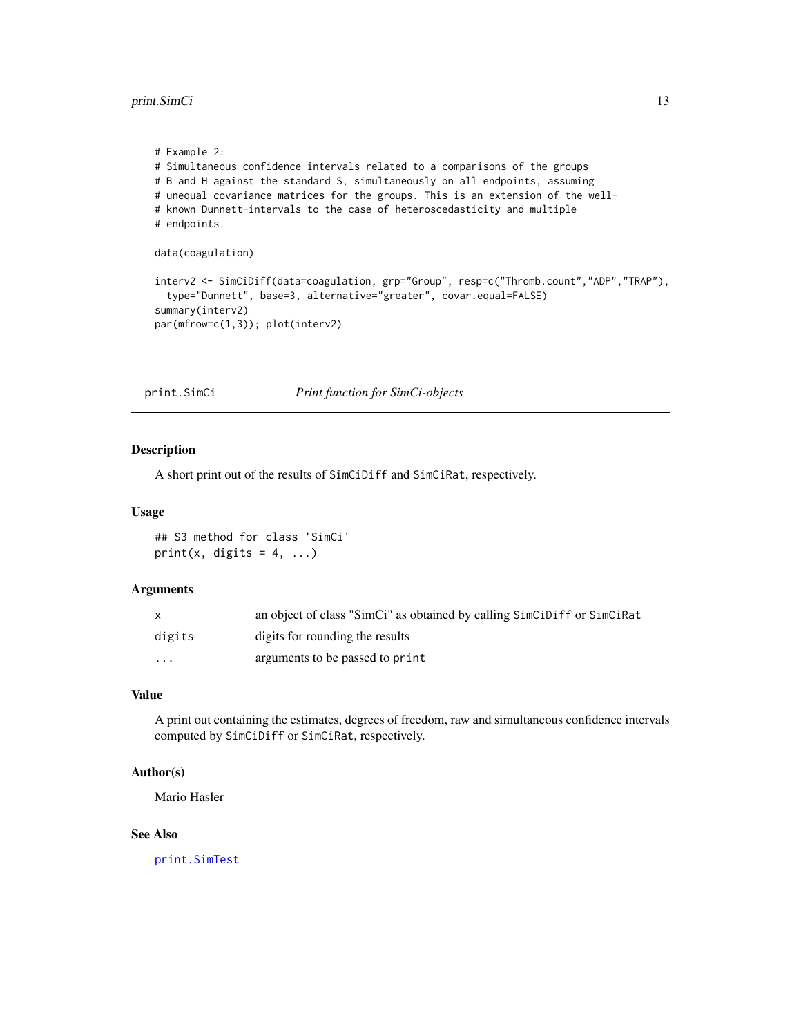<span id="page-12-0"></span>print.SimCi 13

```
# Example 2:
# Simultaneous confidence intervals related to a comparisons of the groups
# B and H against the standard S, simultaneously on all endpoints, assuming
# unequal covariance matrices for the groups. This is an extension of the well-
# known Dunnett-intervals to the case of heteroscedasticity and multiple
# endpoints.
data(coagulation)
interv2 <- SimCiDiff(data=coagulation, grp="Group", resp=c("Thromb.count","ADP","TRAP"),
 type="Dunnett", base=3, alternative="greater", covar.equal=FALSE)
summary(interv2)
par(mfrow=c(1,3)); plot(interv2)
```
<span id="page-12-1"></span>print.SimCi *Print function for SimCi-objects*

# Description

A short print out of the results of SimCiDiff and SimCiRat, respectively.

#### Usage

## S3 method for class 'SimCi' print(x, digits =  $4, ...$ )

# Arguments

|          | an object of class "SimCi" as obtained by calling SimCiDiff or SimCiRat |
|----------|-------------------------------------------------------------------------|
| digits   | digits for rounding the results                                         |
| $\cdots$ | arguments to be passed to print                                         |

#### Value

A print out containing the estimates, degrees of freedom, raw and simultaneous confidence intervals computed by SimCiDiff or SimCiRat, respectively.

# Author(s)

Mario Hasler

# See Also

[print.SimTest](#page-13-2)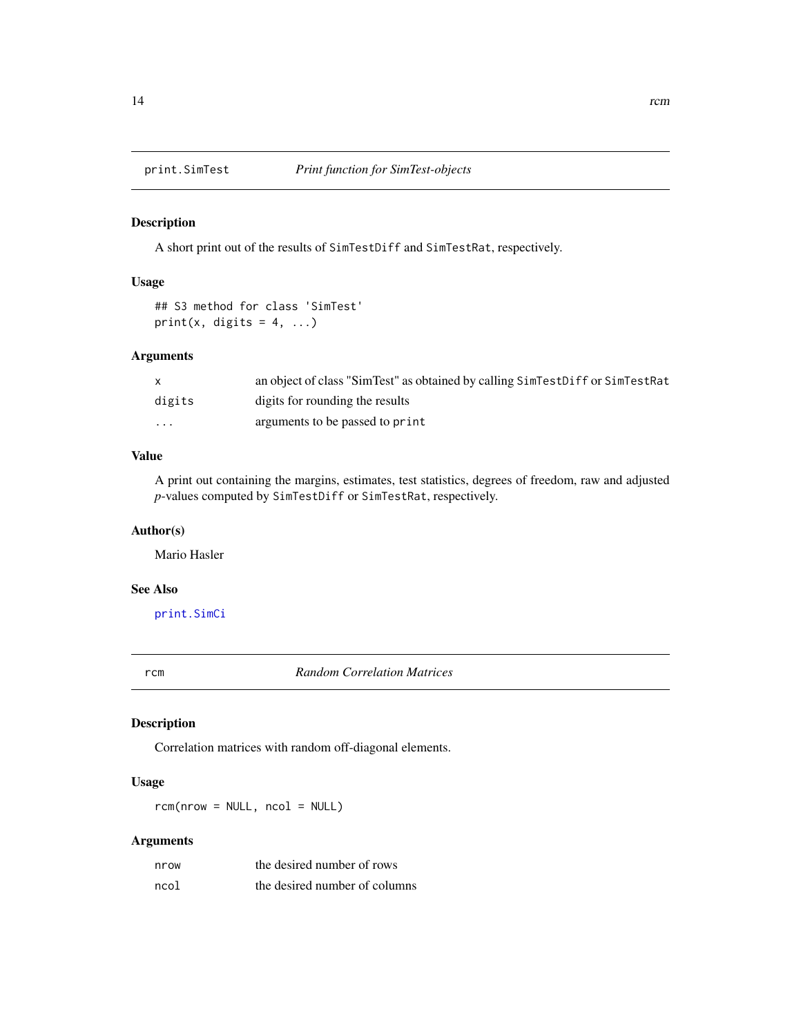<span id="page-13-2"></span><span id="page-13-0"></span>

# Description

A short print out of the results of SimTestDiff and SimTestRat, respectively.

# Usage

```
## S3 method for class 'SimTest'
print(x, digits = 4, ...)
```
# Arguments

| $\mathsf{X}$ | an object of class "SimTest" as obtained by calling SimTestDiff or SimTestRat |
|--------------|-------------------------------------------------------------------------------|
| digits       | digits for rounding the results                                               |
| $\cdots$     | arguments to be passed to print                                               |

# Value

A print out containing the margins, estimates, test statistics, degrees of freedom, raw and adjusted *p*-values computed by SimTestDiff or SimTestRat, respectively.

#### Author(s)

Mario Hasler

# See Also

[print.SimCi](#page-12-1)

<span id="page-13-1"></span>rcm *Random Correlation Matrices*

# Description

Correlation matrices with random off-diagonal elements.

# Usage

 $rcm(nrow = NULL, ncol = NULL)$ 

# Arguments

| nrow | the desired number of rows    |
|------|-------------------------------|
| ncol | the desired number of columns |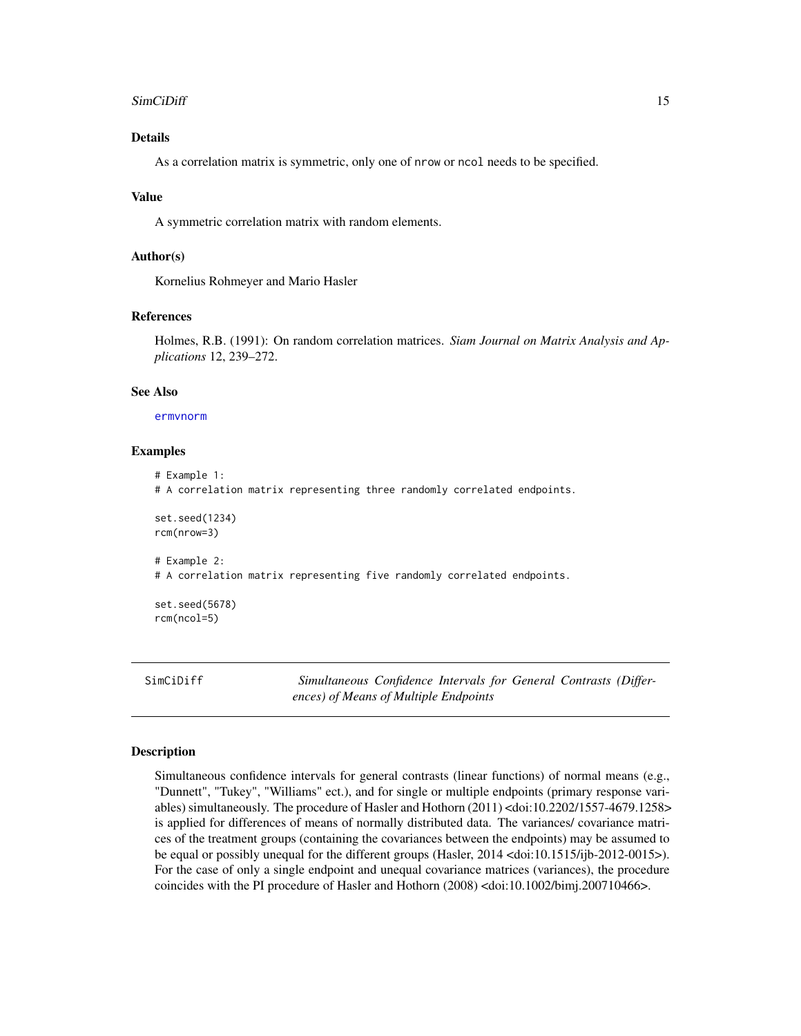#### <span id="page-14-0"></span>SimCiDiff 15

#### Details

As a correlation matrix is symmetric, only one of nrow or ncol needs to be specified.

#### Value

A symmetric correlation matrix with random elements.

# Author(s)

Kornelius Rohmeyer and Mario Hasler

# References

Holmes, R.B. (1991): On random correlation matrices. *Siam Journal on Matrix Analysis and Applications* 12, 239–272.

#### See Also

[ermvnorm](#page-9-1)

#### Examples

```
# Example 1:
# A correlation matrix representing three randomly correlated endpoints.
set.seed(1234)
rcm(nrow=3)
# Example 2:
# A correlation matrix representing five randomly correlated endpoints.
set.seed(5678)
rcm(ncol=5)
```
<span id="page-14-1"></span>SimCiDiff *Simultaneous Confidence Intervals for General Contrasts (Differences) of Means of Multiple Endpoints*

#### Description

Simultaneous confidence intervals for general contrasts (linear functions) of normal means (e.g., "Dunnett", "Tukey", "Williams" ect.), and for single or multiple endpoints (primary response variables) simultaneously. The procedure of Hasler and Hothorn (2011) <doi:10.2202/1557-4679.1258> is applied for differences of means of normally distributed data. The variances/ covariance matrices of the treatment groups (containing the covariances between the endpoints) may be assumed to be equal or possibly unequal for the different groups (Hasler, 2014 <doi:10.1515/ijb-2012-0015>). For the case of only a single endpoint and unequal covariance matrices (variances), the procedure coincides with the PI procedure of Hasler and Hothorn (2008) <doi:10.1002/bimj.200710466>.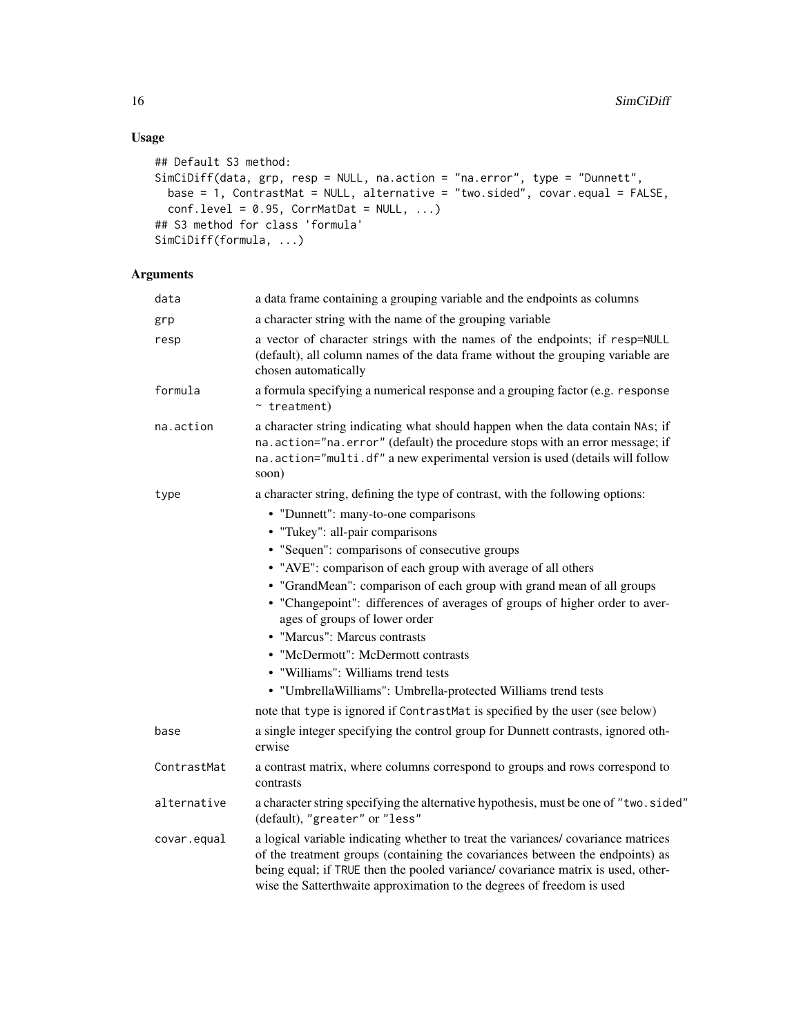# Usage

```
## Default S3 method:
SimCiDiff(data, grp, resp = NULL, na.action = "na.error", type = "Dunnett",
 base = 1, ContrastMat = NULL, alternative = "two.sided", covar.equal = FALSE,
 conf. level = 0.95, CorrMathatDat = NULL, ...)
## S3 method for class 'formula'
SimCiDiff(formula, ...)
```
# Arguments

| data        | a data frame containing a grouping variable and the endpoints as columns                                                                                                                                                                                                                                                        |
|-------------|---------------------------------------------------------------------------------------------------------------------------------------------------------------------------------------------------------------------------------------------------------------------------------------------------------------------------------|
| grp         | a character string with the name of the grouping variable                                                                                                                                                                                                                                                                       |
| resp        | a vector of character strings with the names of the endpoints; if resp=NULL<br>(default), all column names of the data frame without the grouping variable are<br>chosen automatically                                                                                                                                          |
| formula     | a formula specifying a numerical response and a grouping factor (e.g. response<br>$~\sim$ treatment)                                                                                                                                                                                                                            |
| na.action   | a character string indicating what should happen when the data contain NAs; if<br>na.action="na.error" (default) the procedure stops with an error message; if<br>na.action="multi.df" a new experimental version is used (details will follow<br>soon)                                                                         |
| type        | a character string, defining the type of contrast, with the following options:                                                                                                                                                                                                                                                  |
|             | • "Dunnett": many-to-one comparisons                                                                                                                                                                                                                                                                                            |
|             | • "Tukey": all-pair comparisons                                                                                                                                                                                                                                                                                                 |
|             | • "Sequen": comparisons of consecutive groups                                                                                                                                                                                                                                                                                   |
|             | • "AVE": comparison of each group with average of all others                                                                                                                                                                                                                                                                    |
|             | • "GrandMean": comparison of each group with grand mean of all groups                                                                                                                                                                                                                                                           |
|             | • "Changepoint": differences of averages of groups of higher order to aver-<br>ages of groups of lower order                                                                                                                                                                                                                    |
|             | • "Marcus": Marcus contrasts                                                                                                                                                                                                                                                                                                    |
|             | • "McDermott": McDermott contrasts                                                                                                                                                                                                                                                                                              |
|             | • "Williams": Williams trend tests                                                                                                                                                                                                                                                                                              |
|             | • "UmbrellaWilliams": Umbrella-protected Williams trend tests                                                                                                                                                                                                                                                                   |
|             | note that type is ignored if ContrastMat is specified by the user (see below)                                                                                                                                                                                                                                                   |
| base        | a single integer specifying the control group for Dunnett contrasts, ignored oth-<br>erwise                                                                                                                                                                                                                                     |
| ContrastMat | a contrast matrix, where columns correspond to groups and rows correspond to<br>contrasts                                                                                                                                                                                                                                       |
| alternative | a character string specifying the alternative hypothesis, must be one of "two.sided"<br>(default), "greater" or "less"                                                                                                                                                                                                          |
| covar.equal | a logical variable indicating whether to treat the variances/covariance matrices<br>of the treatment groups (containing the covariances between the endpoints) as<br>being equal; if TRUE then the pooled variance/ covariance matrix is used, other-<br>wise the Satterthwaite approximation to the degrees of freedom is used |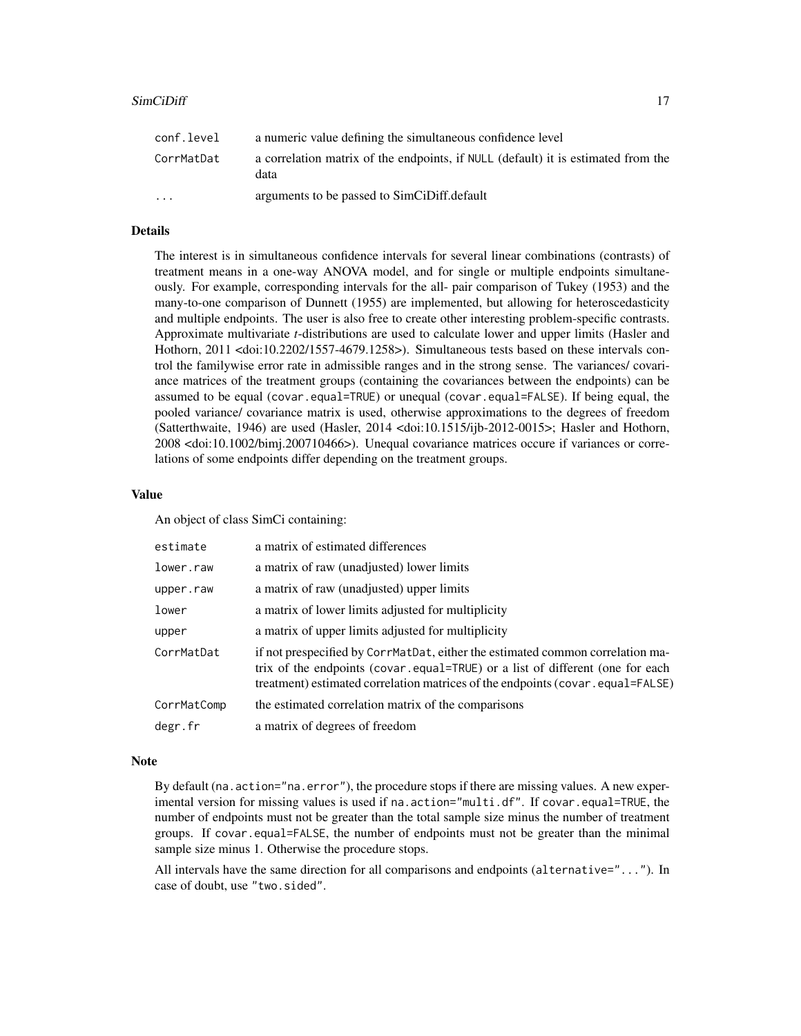| conf.level | a numeric value defining the simultaneous confidence level                                |
|------------|-------------------------------------------------------------------------------------------|
| CorrMatDat | a correlation matrix of the endpoints, if NULL (default) it is estimated from the<br>data |
| $\cdots$   | arguments to be passed to SimCiDiff.default                                               |

## Details

The interest is in simultaneous confidence intervals for several linear combinations (contrasts) of treatment means in a one-way ANOVA model, and for single or multiple endpoints simultaneously. For example, corresponding intervals for the all- pair comparison of Tukey (1953) and the many-to-one comparison of Dunnett (1955) are implemented, but allowing for heteroscedasticity and multiple endpoints. The user is also free to create other interesting problem-specific contrasts. Approximate multivariate *t*-distributions are used to calculate lower and upper limits (Hasler and Hothorn, 2011 <doi:10.2202/1557-4679.1258>). Simultaneous tests based on these intervals control the familywise error rate in admissible ranges and in the strong sense. The variances/ covariance matrices of the treatment groups (containing the covariances between the endpoints) can be assumed to be equal (covar.equal=TRUE) or unequal (covar.equal=FALSE). If being equal, the pooled variance/ covariance matrix is used, otherwise approximations to the degrees of freedom (Satterthwaite, 1946) are used (Hasler, 2014 <doi:10.1515/ijb-2012-0015>; Hasler and Hothorn, 2008 <doi:10.1002/bimj.200710466>). Unequal covariance matrices occure if variances or correlations of some endpoints differ depending on the treatment groups.

# Value

An object of class SimCi containing:

| estimate    | a matrix of estimated differences                                                                                                                                                                                                                 |
|-------------|---------------------------------------------------------------------------------------------------------------------------------------------------------------------------------------------------------------------------------------------------|
| lower.raw   | a matrix of raw (unadjusted) lower limits                                                                                                                                                                                                         |
| upper.raw   | a matrix of raw (unadjusted) upper limits                                                                                                                                                                                                         |
| lower       | a matrix of lower limits adjusted for multiplicity                                                                                                                                                                                                |
| upper       | a matrix of upper limits adjusted for multiplicity                                                                                                                                                                                                |
| CorrMatDat  | if not prespecified by CorrMatDat, either the estimated common correlation ma-<br>trix of the endpoints (covar.equal=TRUE) or a list of different (one for each<br>treatment) estimated correlation matrices of the endpoints (covar.equal=FALSE) |
| CorrMatComp | the estimated correlation matrix of the comparisons                                                                                                                                                                                               |
| degr.fr     | a matrix of degrees of freedom                                                                                                                                                                                                                    |
|             |                                                                                                                                                                                                                                                   |

#### Note

By default (na.action="na.error"), the procedure stops if there are missing values. A new experimental version for missing values is used if na.action="multi.df". If covar.equal=TRUE, the number of endpoints must not be greater than the total sample size minus the number of treatment groups. If covar.equal=FALSE, the number of endpoints must not be greater than the minimal sample size minus 1. Otherwise the procedure stops.

All intervals have the same direction for all comparisons and endpoints (alternative="..."). In case of doubt, use "two.sided".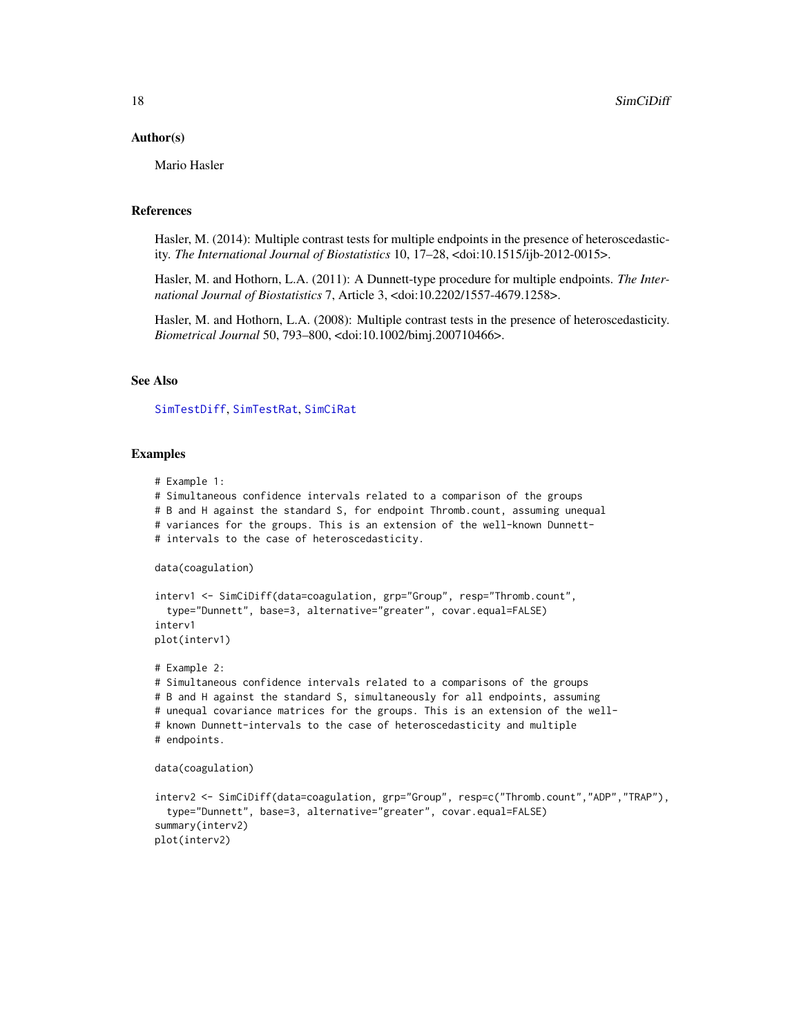#### <span id="page-17-0"></span>Author(s)

Mario Hasler

#### References

Hasler, M. (2014): Multiple contrast tests for multiple endpoints in the presence of heteroscedasticity. *The International Journal of Biostatistics* 10, 17–28, <doi:10.1515/ijb-2012-0015>.

Hasler, M. and Hothorn, L.A. (2011): A Dunnett-type procedure for multiple endpoints. *The International Journal of Biostatistics* 7, Article 3, <doi:10.2202/1557-4679.1258>.

Hasler, M. and Hothorn, L.A. (2008): Multiple contrast tests in the presence of heteroscedasticity. *Biometrical Journal* 50, 793–800, <doi:10.1002/bimj.200710466>.

# See Also

[SimTestDiff](#page-21-1), [SimTestRat](#page-24-1), [SimCiRat](#page-18-1)

# Examples

```
# Example 1:
```
# Simultaneous confidence intervals related to a comparison of the groups

- # B and H against the standard S, for endpoint Thromb.count, assuming unequal
- # variances for the groups. This is an extension of the well-known Dunnett-
- # intervals to the case of heteroscedasticity.

data(coagulation)

```
interv1 <- SimCiDiff(data=coagulation, grp="Group", resp="Thromb.count",
 type="Dunnett", base=3, alternative="greater", covar.equal=FALSE)
interv1
plot(interv1)
```
# Example 2: # Simultaneous confidence intervals related to a comparisons of the groups # B and H against the standard S, simultaneously for all endpoints, assuming # unequal covariance matrices for the groups. This is an extension of the well- # known Dunnett-intervals to the case of heteroscedasticity and multiple # endpoints.

data(coagulation)

```
interv2 <- SimCiDiff(data=coagulation, grp="Group", resp=c("Thromb.count","ADP","TRAP"),
 type="Dunnett", base=3, alternative="greater", covar.equal=FALSE)
summary(interv2)
plot(interv2)
```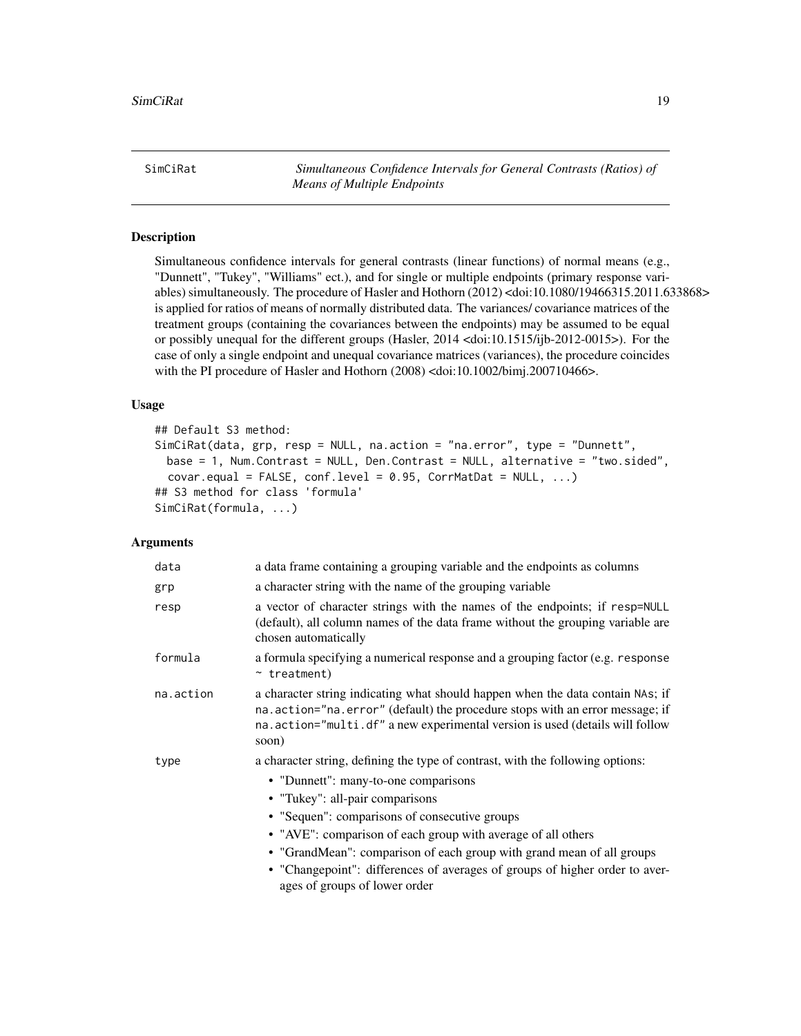<span id="page-18-1"></span><span id="page-18-0"></span>SimCiRat *Simultaneous Confidence Intervals for General Contrasts (Ratios) of Means of Multiple Endpoints*

# **Description**

Simultaneous confidence intervals for general contrasts (linear functions) of normal means (e.g., "Dunnett", "Tukey", "Williams" ect.), and for single or multiple endpoints (primary response variables) simultaneously. The procedure of Hasler and Hothorn (2012) <doi:10.1080/19466315.2011.633868> is applied for ratios of means of normally distributed data. The variances/ covariance matrices of the treatment groups (containing the covariances between the endpoints) may be assumed to be equal or possibly unequal for the different groups (Hasler, 2014 <doi:10.1515/ijb-2012-0015>). For the case of only a single endpoint and unequal covariance matrices (variances), the procedure coincides with the PI procedure of Hasler and Hothorn (2008) <doi:10.1002/bimj.200710466>.

#### Usage

```
## Default S3 method:
SimCiRat(data, grp, resp = NULL, na.action = "na.error", type = "Dunnett",
 base = 1, Num.Contrast = NULL, Den.Contrast = NULL, alternative = "two.sided",
  covar.equals = FALSE, conf.level = 0.95, CorrMatht = NULL, ...## S3 method for class 'formula'
SimCiRat(formula, ...)
```
#### Arguments

| data      | a data frame containing a grouping variable and the endpoints as columns                                                                                                                                                                                                                                                                                                                                                                                            |
|-----------|---------------------------------------------------------------------------------------------------------------------------------------------------------------------------------------------------------------------------------------------------------------------------------------------------------------------------------------------------------------------------------------------------------------------------------------------------------------------|
| grp       | a character string with the name of the grouping variable                                                                                                                                                                                                                                                                                                                                                                                                           |
| resp      | a vector of character strings with the names of the endpoints; if resp=NULL<br>(default), all column names of the data frame without the grouping variable are<br>chosen automatically                                                                                                                                                                                                                                                                              |
| formula   | a formula specifying a numerical response and a grouping factor (e.g. response<br>$~\sim$ treatment)                                                                                                                                                                                                                                                                                                                                                                |
| na.action | a character string indicating what should happen when the data contain NAs; if<br>na. action="na. error" (default) the procedure stops with an error message; if<br>na.action="multi.df" a new experimental version is used (details will follow<br>soon)                                                                                                                                                                                                           |
| type      | a character string, defining the type of contrast, with the following options:<br>• "Dunnett": many-to-one comparisons<br>• "Tukey": all-pair comparisons<br>• "Sequen": comparisons of consecutive groups<br>• "AVE": comparison of each group with average of all others<br>• "GrandMean": comparison of each group with grand mean of all groups<br>• "Changepoint": differences of averages of groups of higher order to aver-<br>ages of groups of lower order |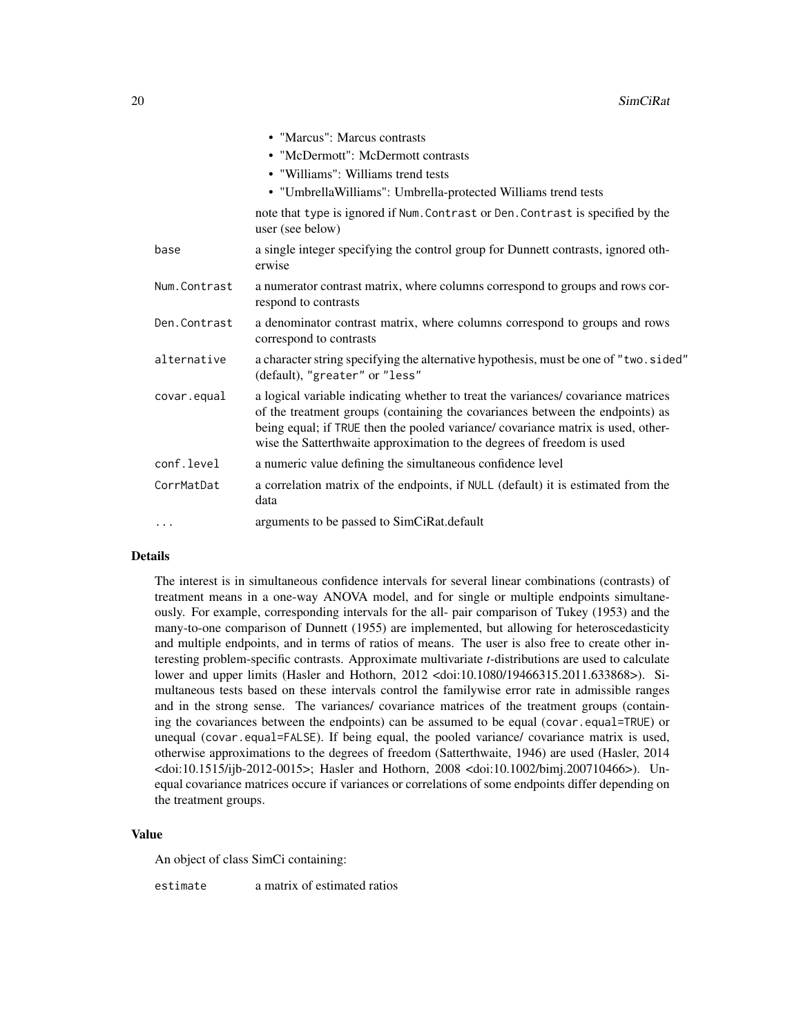|              | • "Marcus": Marcus contrasts                                                                                                                                                                                                                                                                                                    |
|--------------|---------------------------------------------------------------------------------------------------------------------------------------------------------------------------------------------------------------------------------------------------------------------------------------------------------------------------------|
|              | • "McDermott": McDermott contrasts                                                                                                                                                                                                                                                                                              |
|              | • "Williams": Williams trend tests                                                                                                                                                                                                                                                                                              |
|              | • "Umbrella Williams": Umbrella-protected Williams trend tests                                                                                                                                                                                                                                                                  |
|              | note that type is ignored if Num. Contrast or Den. Contrast is specified by the<br>user (see below)                                                                                                                                                                                                                             |
| base         | a single integer specifying the control group for Dunnett contrasts, ignored oth-<br>erwise                                                                                                                                                                                                                                     |
| Num.Contrast | a numerator contrast matrix, where columns correspond to groups and rows cor-<br>respond to contrasts                                                                                                                                                                                                                           |
| Den.Contrast | a denominator contrast matrix, where columns correspond to groups and rows<br>correspond to contrasts                                                                                                                                                                                                                           |
| alternative  | a character string specifying the alternative hypothesis, must be one of "two.sided"<br>(default), "greater" or "less"                                                                                                                                                                                                          |
| covar.equal  | a logical variable indicating whether to treat the variances/covariance matrices<br>of the treatment groups (containing the covariances between the endpoints) as<br>being equal; if TRUE then the pooled variance/ covariance matrix is used, other-<br>wise the Satterthwaite approximation to the degrees of freedom is used |
| conf.level   | a numeric value defining the simultaneous confidence level                                                                                                                                                                                                                                                                      |
| CorrMatDat   | a correlation matrix of the endpoints, if NULL (default) it is estimated from the<br>data                                                                                                                                                                                                                                       |
| .            | arguments to be passed to SimCiRat.default                                                                                                                                                                                                                                                                                      |

#### Details

The interest is in simultaneous confidence intervals for several linear combinations (contrasts) of treatment means in a one-way ANOVA model, and for single or multiple endpoints simultaneously. For example, corresponding intervals for the all- pair comparison of Tukey (1953) and the many-to-one comparison of Dunnett (1955) are implemented, but allowing for heteroscedasticity and multiple endpoints, and in terms of ratios of means. The user is also free to create other interesting problem-specific contrasts. Approximate multivariate *t*-distributions are used to calculate lower and upper limits (Hasler and Hothorn, 2012 <doi:10.1080/19466315.2011.633868>). Simultaneous tests based on these intervals control the familywise error rate in admissible ranges and in the strong sense. The variances/ covariance matrices of the treatment groups (containing the covariances between the endpoints) can be assumed to be equal (covar.equal=TRUE) or unequal (covar.equal=FALSE). If being equal, the pooled variance/ covariance matrix is used, otherwise approximations to the degrees of freedom (Satterthwaite, 1946) are used (Hasler, 2014 <doi:10.1515/ijb-2012-0015>; Hasler and Hothorn, 2008 <doi:10.1002/bimj.200710466>). Unequal covariance matrices occure if variances or correlations of some endpoints differ depending on the treatment groups.

#### Value

An object of class SimCi containing:

estimate a matrix of estimated ratios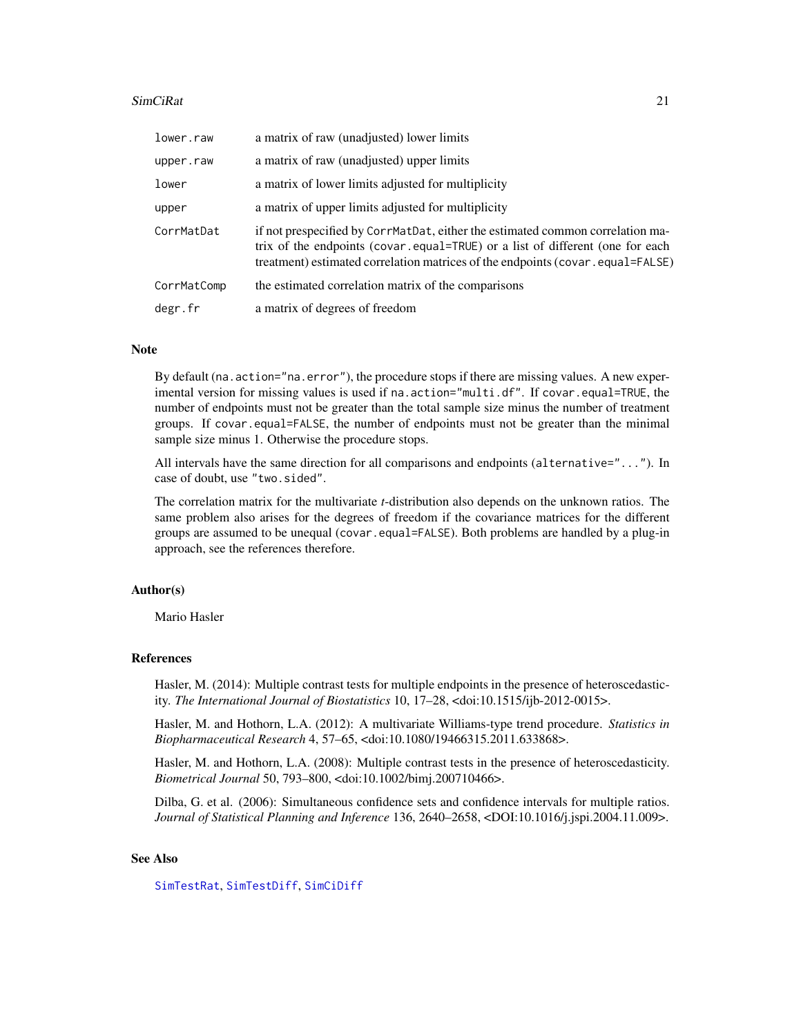#### <span id="page-20-0"></span>SimCiRat 21

| lower.raw   | a matrix of raw (unadjusted) lower limits                                                                                                                                                                                                         |
|-------------|---------------------------------------------------------------------------------------------------------------------------------------------------------------------------------------------------------------------------------------------------|
| upper.raw   | a matrix of raw (unadjusted) upper limits                                                                                                                                                                                                         |
| lower       | a matrix of lower limits adjusted for multiplicity                                                                                                                                                                                                |
| upper       | a matrix of upper limits adjusted for multiplicity                                                                                                                                                                                                |
| CorrMatDat  | if not prespecified by CorrMatDat, either the estimated common correlation ma-<br>trix of the endpoints (covar.equal=TRUE) or a list of different (one for each<br>treatment) estimated correlation matrices of the endpoints (covar.equal=FALSE) |
| CorrMatComp | the estimated correlation matrix of the comparisons                                                                                                                                                                                               |
| degr.fr     | a matrix of degrees of freedom                                                                                                                                                                                                                    |

#### Note

By default (na.action="na.error"), the procedure stops if there are missing values. A new experimental version for missing values is used if na.action="multi.df". If covar.equal=TRUE, the number of endpoints must not be greater than the total sample size minus the number of treatment groups. If covar.equal=FALSE, the number of endpoints must not be greater than the minimal sample size minus 1. Otherwise the procedure stops.

All intervals have the same direction for all comparisons and endpoints (alternative="..."). In case of doubt, use "two.sided".

The correlation matrix for the multivariate *t*-distribution also depends on the unknown ratios. The same problem also arises for the degrees of freedom if the covariance matrices for the different groups are assumed to be unequal (covar.equal=FALSE). Both problems are handled by a plug-in approach, see the references therefore.

#### Author(s)

Mario Hasler

#### References

Hasler, M. (2014): Multiple contrast tests for multiple endpoints in the presence of heteroscedasticity. *The International Journal of Biostatistics* 10, 17–28, <doi:10.1515/ijb-2012-0015>.

Hasler, M. and Hothorn, L.A. (2012): A multivariate Williams-type trend procedure. *Statistics in Biopharmaceutical Research* 4, 57–65, <doi:10.1080/19466315.2011.633868>.

Hasler, M. and Hothorn, L.A. (2008): Multiple contrast tests in the presence of heteroscedasticity. *Biometrical Journal* 50, 793–800, <doi:10.1002/bimj.200710466>.

Dilba, G. et al. (2006): Simultaneous confidence sets and confidence intervals for multiple ratios. *Journal of Statistical Planning and Inference* 136, 2640–2658, <DOI:10.1016/j.jspi.2004.11.009>.

#### See Also

[SimTestRat](#page-24-1), [SimTestDiff](#page-21-1), [SimCiDiff](#page-14-1)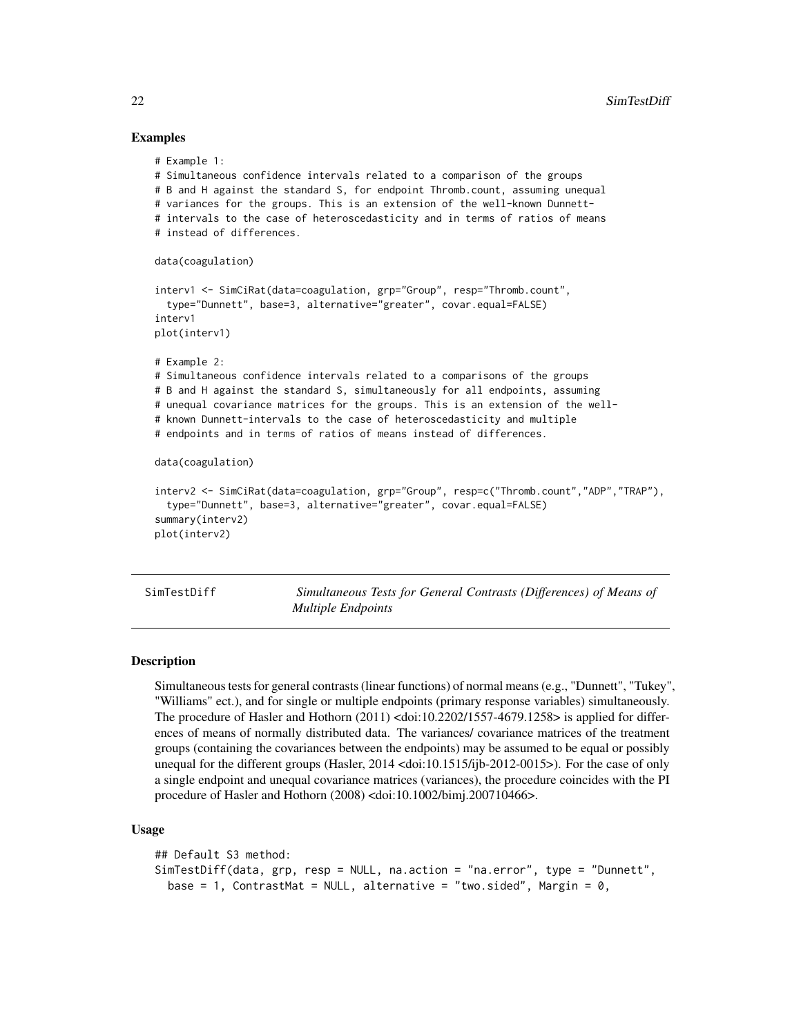### Examples

```
# Example 1:
# Simultaneous confidence intervals related to a comparison of the groups
# B and H against the standard S, for endpoint Thromb.count, assuming unequal
# variances for the groups. This is an extension of the well-known Dunnett-
# intervals to the case of heteroscedasticity and in terms of ratios of means
# instead of differences.
data(coagulation)
interv1 <- SimCiRat(data=coagulation, grp="Group", resp="Thromb.count",
 type="Dunnett", base=3, alternative="greater", covar.equal=FALSE)
interv1
plot(interv1)
# Example 2:
# Simultaneous confidence intervals related to a comparisons of the groups
# B and H against the standard S, simultaneously for all endpoints, assuming
# unequal covariance matrices for the groups. This is an extension of the well-
# known Dunnett-intervals to the case of heteroscedasticity and multiple
# endpoints and in terms of ratios of means instead of differences.
data(coagulation)
interv2 <- SimCiRat(data=coagulation, grp="Group", resp=c("Thromb.count","ADP","TRAP"),
  type="Dunnett", base=3, alternative="greater", covar.equal=FALSE)
summary(interv2)
plot(interv2)
```
<span id="page-21-1"></span>SimTestDiff *Simultaneous Tests for General Contrasts (Differences) of Means of Multiple Endpoints*

#### Description

Simultaneous tests for general contrasts (linear functions) of normal means (e.g., "Dunnett", "Tukey", "Williams" ect.), and for single or multiple endpoints (primary response variables) simultaneously. The procedure of Hasler and Hothorn  $(2011)$  <doi:10.2202/1557-4679.1258> is applied for differences of means of normally distributed data. The variances/ covariance matrices of the treatment groups (containing the covariances between the endpoints) may be assumed to be equal or possibly unequal for the different groups (Hasler, 2014 <doi:10.1515/ijb-2012-0015>). For the case of only a single endpoint and unequal covariance matrices (variances), the procedure coincides with the PI procedure of Hasler and Hothorn (2008) <doi:10.1002/bimj.200710466>.

#### Usage

```
## Default S3 method:
SimTestDiff(data, grp, resp = NULL, na.action = "na.error", type = "Dunnett",
 base = 1, ContrastMat = NULL, alternative = "two.sided", Margin = 0,
```
<span id="page-21-0"></span>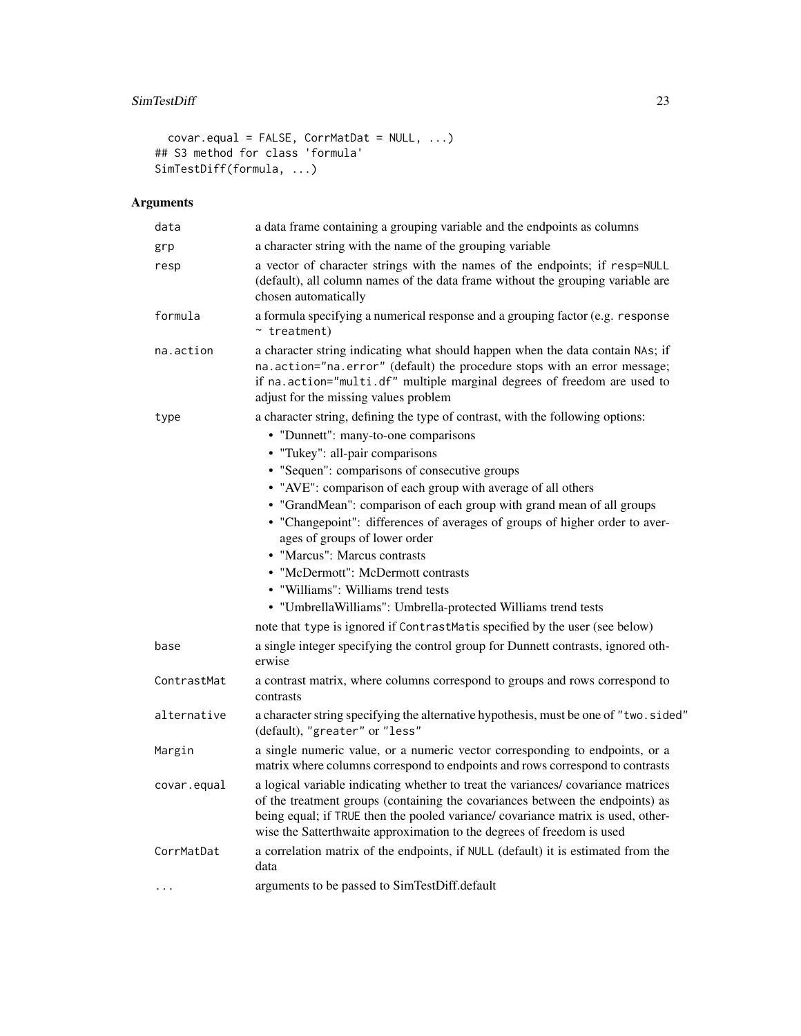```
covar.equal = FALSE, CorrMatDat = NULL, ...)
## S3 method for class 'formula'
SimTestDiff(formula, ...)
```
# Arguments

| data        | a data frame containing a grouping variable and the endpoints as columns                                                                                                                                                                                                                                                                                                                                                                                                                                                                                                                                                                                                                                                         |
|-------------|----------------------------------------------------------------------------------------------------------------------------------------------------------------------------------------------------------------------------------------------------------------------------------------------------------------------------------------------------------------------------------------------------------------------------------------------------------------------------------------------------------------------------------------------------------------------------------------------------------------------------------------------------------------------------------------------------------------------------------|
| grp         | a character string with the name of the grouping variable                                                                                                                                                                                                                                                                                                                                                                                                                                                                                                                                                                                                                                                                        |
| resp        | a vector of character strings with the names of the endpoints; if resp=NULL<br>(default), all column names of the data frame without the grouping variable are<br>chosen automatically                                                                                                                                                                                                                                                                                                                                                                                                                                                                                                                                           |
| formula     | a formula specifying a numerical response and a grouping factor (e.g. response<br>$~\sim$ treatment)                                                                                                                                                                                                                                                                                                                                                                                                                                                                                                                                                                                                                             |
| na.action   | a character string indicating what should happen when the data contain NAs; if<br>na.action="na.error" (default) the procedure stops with an error message;<br>if na.action="multi.df" multiple marginal degrees of freedom are used to<br>adjust for the missing values problem                                                                                                                                                                                                                                                                                                                                                                                                                                                 |
| type        | a character string, defining the type of contrast, with the following options:<br>• "Dunnett": many-to-one comparisons<br>• "Tukey": all-pair comparisons<br>• "Sequen": comparisons of consecutive groups<br>• "AVE": comparison of each group with average of all others<br>• "GrandMean": comparison of each group with grand mean of all groups<br>• "Changepoint": differences of averages of groups of higher order to aver-<br>ages of groups of lower order<br>• "Marcus": Marcus contrasts<br>• "McDermott": McDermott contrasts<br>• "Williams": Williams trend tests<br>• "UmbrellaWilliams": Umbrella-protected Williams trend tests<br>note that type is ignored if ContrastMatis specified by the user (see below) |
| base        | a single integer specifying the control group for Dunnett contrasts, ignored oth-<br>erwise                                                                                                                                                                                                                                                                                                                                                                                                                                                                                                                                                                                                                                      |
| ContrastMat | a contrast matrix, where columns correspond to groups and rows correspond to<br>contrasts                                                                                                                                                                                                                                                                                                                                                                                                                                                                                                                                                                                                                                        |
| alternative | a character string specifying the alternative hypothesis, must be one of "two.sided"<br>(default), "greater" or "less"                                                                                                                                                                                                                                                                                                                                                                                                                                                                                                                                                                                                           |
| Margin      | a single numeric value, or a numeric vector corresponding to endpoints, or a<br>matrix where columns correspond to endpoints and rows correspond to contrasts                                                                                                                                                                                                                                                                                                                                                                                                                                                                                                                                                                    |
| covar.equal | a logical variable indicating whether to treat the variances/covariance matrices<br>of the treatment groups (containing the covariances between the endpoints) as<br>being equal; if TRUE then the pooled variance/ covariance matrix is used, other-<br>wise the Satterthwaite approximation to the degrees of freedom is used                                                                                                                                                                                                                                                                                                                                                                                                  |
| CorrMatDat  | a correlation matrix of the endpoints, if NULL (default) it is estimated from the<br>data                                                                                                                                                                                                                                                                                                                                                                                                                                                                                                                                                                                                                                        |
|             | arguments to be passed to SimTestDiff.default                                                                                                                                                                                                                                                                                                                                                                                                                                                                                                                                                                                                                                                                                    |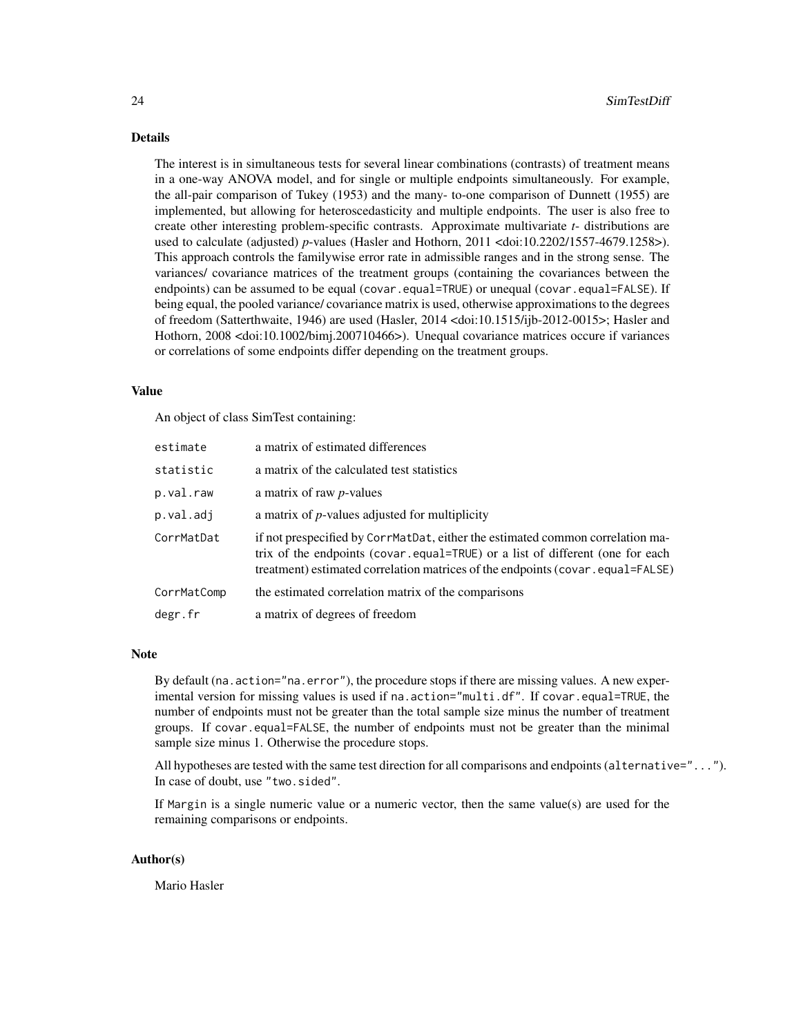#### Details

The interest is in simultaneous tests for several linear combinations (contrasts) of treatment means in a one-way ANOVA model, and for single or multiple endpoints simultaneously. For example, the all-pair comparison of Tukey (1953) and the many- to-one comparison of Dunnett (1955) are implemented, but allowing for heteroscedasticity and multiple endpoints. The user is also free to create other interesting problem-specific contrasts. Approximate multivariate *t*- distributions are used to calculate (adjusted) *p*-values (Hasler and Hothorn, 2011 <doi:10.2202/1557-4679.1258>). This approach controls the familywise error rate in admissible ranges and in the strong sense. The variances/ covariance matrices of the treatment groups (containing the covariances between the endpoints) can be assumed to be equal (covar.equal=TRUE) or unequal (covar.equal=FALSE). If being equal, the pooled variance/ covariance matrix is used, otherwise approximations to the degrees of freedom (Satterthwaite, 1946) are used (Hasler, 2014 <doi:10.1515/ijb-2012-0015>; Hasler and Hothorn, 2008 <doi:10.1002/bimj.200710466>). Unequal covariance matrices occure if variances or correlations of some endpoints differ depending on the treatment groups.

#### Value

An object of class SimTest containing:

| estimate    | a matrix of estimated differences                                                                                                                                                                                                                 |
|-------------|---------------------------------------------------------------------------------------------------------------------------------------------------------------------------------------------------------------------------------------------------|
| statistic   | a matrix of the calculated test statistics                                                                                                                                                                                                        |
| p.val.raw   | a matrix of raw <i>p</i> -values                                                                                                                                                                                                                  |
| p.val.adj   | a matrix of $p$ -values adjusted for multiplicity                                                                                                                                                                                                 |
| CorrMatDat  | if not prespecified by CorrMatDat, either the estimated common correlation ma-<br>trix of the endpoints (covar.equal=TRUE) or a list of different (one for each<br>treatment) estimated correlation matrices of the endpoints (covar.equal=FALSE) |
| CorrMatComp | the estimated correlation matrix of the comparisons                                                                                                                                                                                               |
| degr.fr     | a matrix of degrees of freedom                                                                                                                                                                                                                    |

#### **Note**

By default (na.action="na.error"), the procedure stops if there are missing values. A new experimental version for missing values is used if na.action="multi.df". If covar.equal=TRUE, the number of endpoints must not be greater than the total sample size minus the number of treatment groups. If covar.equal=FALSE, the number of endpoints must not be greater than the minimal sample size minus 1. Otherwise the procedure stops.

All hypotheses are tested with the same test direction for all comparisons and endpoints (alternative="..."). In case of doubt, use "two.sided".

If Margin is a single numeric value or a numeric vector, then the same value(s) are used for the remaining comparisons or endpoints.

#### Author(s)

Mario Hasler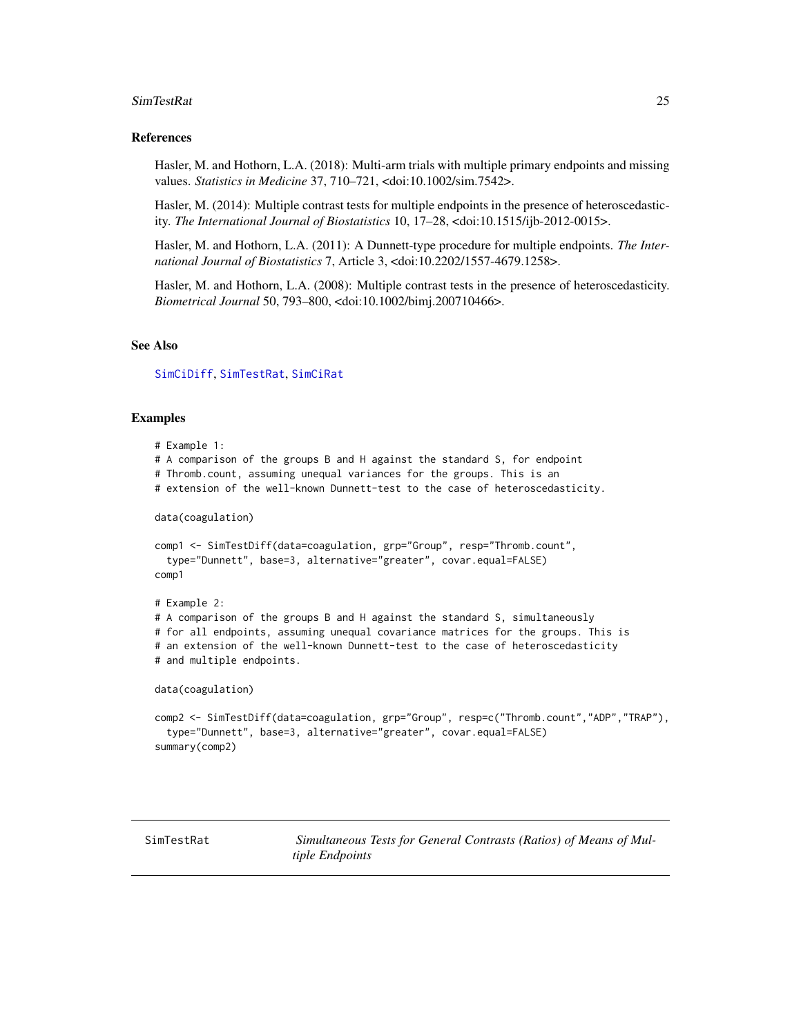#### <span id="page-24-0"></span>SimTestRat 25

#### References

Hasler, M. and Hothorn, L.A. (2018): Multi-arm trials with multiple primary endpoints and missing values. *Statistics in Medicine* 37, 710–721, <doi:10.1002/sim.7542>.

Hasler, M. (2014): Multiple contrast tests for multiple endpoints in the presence of heteroscedasticity. *The International Journal of Biostatistics* 10, 17–28, <doi:10.1515/ijb-2012-0015>.

Hasler, M. and Hothorn, L.A. (2011): A Dunnett-type procedure for multiple endpoints. *The International Journal of Biostatistics* 7, Article 3, <doi:10.2202/1557-4679.1258>.

Hasler, M. and Hothorn, L.A. (2008): Multiple contrast tests in the presence of heteroscedasticity. *Biometrical Journal* 50, 793–800, <doi:10.1002/bimj.200710466>.

#### See Also

[SimCiDiff](#page-14-1), [SimTestRat](#page-24-1), [SimCiRat](#page-18-1)

### Examples

```
# Example 1:
# A comparison of the groups B and H against the standard S, for endpoint
# Thromb.count, assuming unequal variances for the groups. This is an
# extension of the well-known Dunnett-test to the case of heteroscedasticity.
data(coagulation)
comp1 <- SimTestDiff(data=coagulation, grp="Group", resp="Thromb.count",
  type="Dunnett", base=3, alternative="greater", covar.equal=FALSE)
comp1
# Example 2:
# A comparison of the groups B and H against the standard S, simultaneously
# for all endpoints, assuming unequal covariance matrices for the groups. This is
# an extension of the well-known Dunnett-test to the case of heteroscedasticity
# and multiple endpoints.
data(coagulation)
comp2 <- SimTestDiff(data=coagulation, grp="Group", resp=c("Thromb.count","ADP","TRAP"),
  type="Dunnett", base=3, alternative="greater", covar.equal=FALSE)
summary(comp2)
```
<span id="page-24-1"></span>SimTestRat *Simultaneous Tests for General Contrasts (Ratios) of Means of Multiple Endpoints*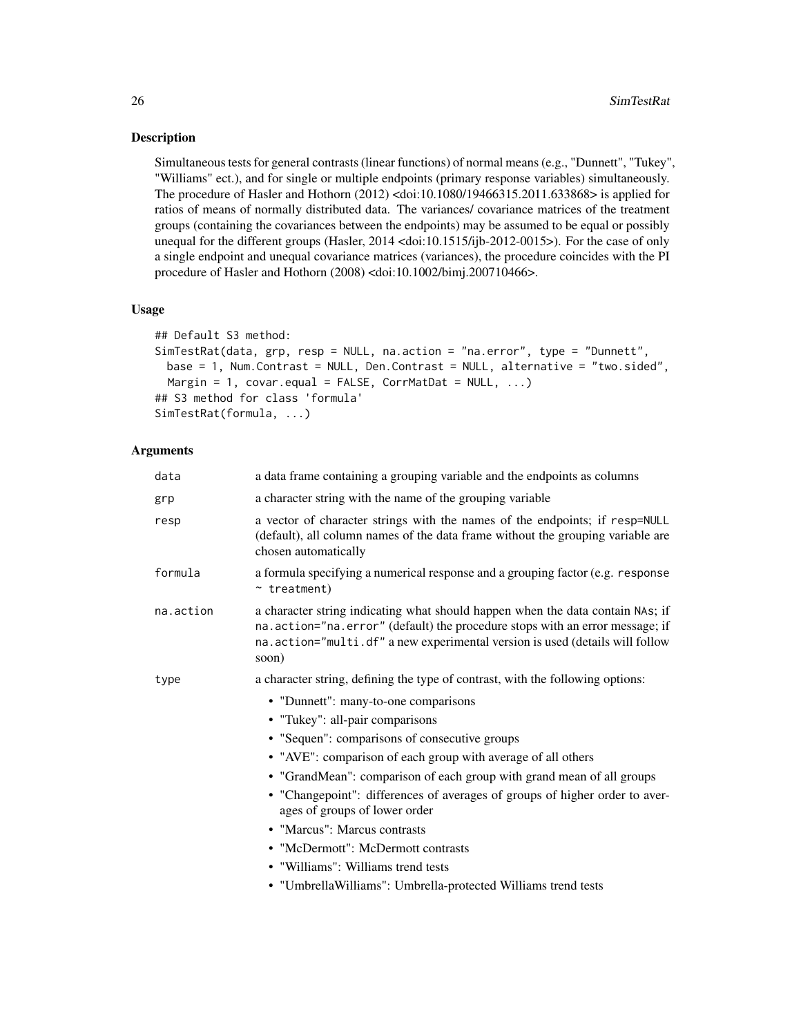#### Description

Simultaneous tests for general contrasts (linear functions) of normal means (e.g., "Dunnett", "Tukey", "Williams" ect.), and for single or multiple endpoints (primary response variables) simultaneously. The procedure of Hasler and Hothorn (2012) <doi:10.1080/19466315.2011.633868> is applied for ratios of means of normally distributed data. The variances/ covariance matrices of the treatment groups (containing the covariances between the endpoints) may be assumed to be equal or possibly unequal for the different groups (Hasler, 2014 <doi:10.1515/ijb-2012-0015>). For the case of only a single endpoint and unequal covariance matrices (variances), the procedure coincides with the PI procedure of Hasler and Hothorn (2008) <doi:10.1002/bimj.200710466>.

#### Usage

```
## Default S3 method:
SimTestRat(data, grp, resp = NULL, na.action = "na.error", type = "Dunnett",
 base = 1, Num.Contrast = NULL, Den.Contrast = NULL, alternative = "two.sided",
 Margin = 1, covar.equals = FALSE, CorrMathbat = NULL, ...)
## S3 method for class 'formula'
SimTestRat(formula, ...)
```
# Arguments

| data      | a data frame containing a grouping variable and the endpoints as columns                                                                                                                                                                                  |
|-----------|-----------------------------------------------------------------------------------------------------------------------------------------------------------------------------------------------------------------------------------------------------------|
| grp       | a character string with the name of the grouping variable                                                                                                                                                                                                 |
| resp      | a vector of character strings with the names of the endpoints; if resp=NULL<br>(default), all column names of the data frame without the grouping variable are<br>chosen automatically                                                                    |
| formula   | a formula specifying a numerical response and a grouping factor (e.g. response<br>$~\sim$ treatment)                                                                                                                                                      |
| na.action | a character string indicating what should happen when the data contain NAs; if<br>na. action="na. error" (default) the procedure stops with an error message; if<br>na.action="multi.df" a new experimental version is used (details will follow<br>soon) |
| type      | a character string, defining the type of contrast, with the following options:                                                                                                                                                                            |
|           | • "Dunnett": many-to-one comparisons                                                                                                                                                                                                                      |
|           | • "Tukey": all-pair comparisons                                                                                                                                                                                                                           |
|           | • "Sequen": comparisons of consecutive groups                                                                                                                                                                                                             |
|           | • "AVE": comparison of each group with average of all others                                                                                                                                                                                              |
|           | • "GrandMean": comparison of each group with grand mean of all groups                                                                                                                                                                                     |
|           | • "Changepoint": differences of averages of groups of higher order to aver-<br>ages of groups of lower order                                                                                                                                              |
|           | • "Marcus": Marcus contrasts                                                                                                                                                                                                                              |
|           | • "McDermott": McDermott contrasts                                                                                                                                                                                                                        |
|           | • "Williams": Williams trend tests                                                                                                                                                                                                                        |
|           | • "UmbrellaWilliams": Umbrella-protected Williams trend tests                                                                                                                                                                                             |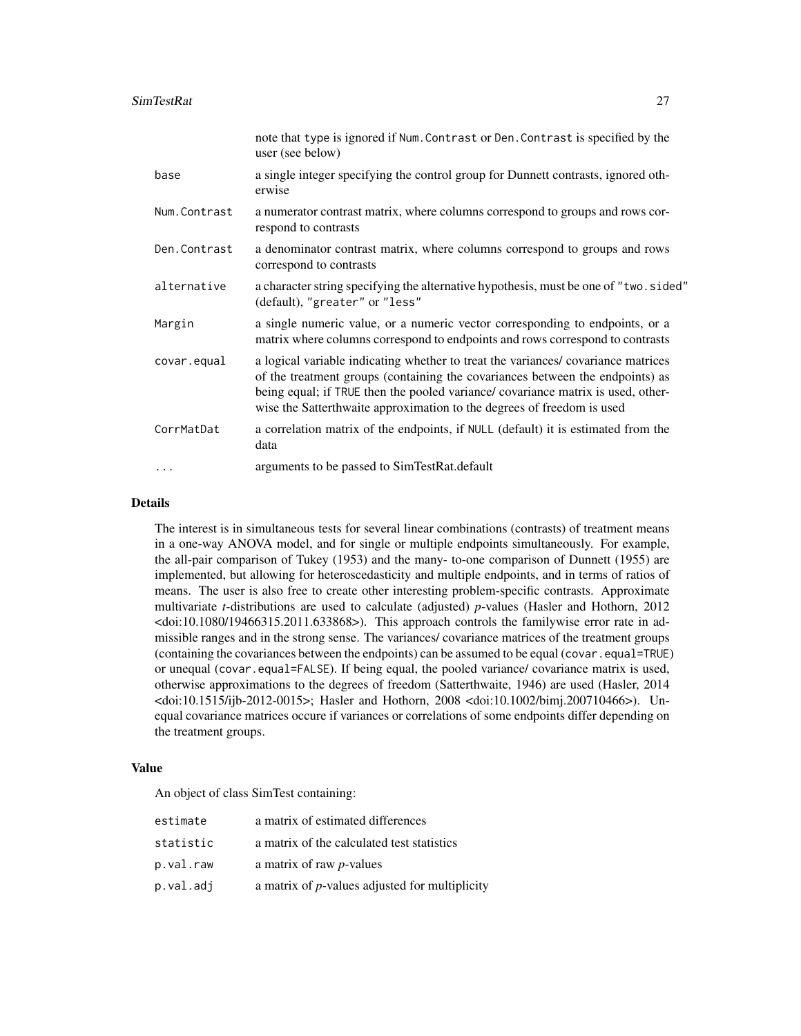|              | note that type is ignored if Num. Contrast or Den. Contrast is specified by the<br>user (see below)                                                                                                                                                                                                                             |
|--------------|---------------------------------------------------------------------------------------------------------------------------------------------------------------------------------------------------------------------------------------------------------------------------------------------------------------------------------|
| base         | a single integer specifying the control group for Dunnett contrasts, ignored oth-<br>erwise                                                                                                                                                                                                                                     |
| Num.Contrast | a numerator contrast matrix, where columns correspond to groups and rows cor-<br>respond to contrasts                                                                                                                                                                                                                           |
| Den.Contrast | a denominator contrast matrix, where columns correspond to groups and rows<br>correspond to contrasts                                                                                                                                                                                                                           |
| alternative  | a character string specifying the alternative hypothesis, must be one of "two. sided"<br>(default), "greater" or "less"                                                                                                                                                                                                         |
| Margin       | a single numeric value, or a numeric vector corresponding to endpoints, or a<br>matrix where columns correspond to endpoints and rows correspond to contrasts                                                                                                                                                                   |
| covar.equal  | a logical variable indicating whether to treat the variances/covariance matrices<br>of the treatment groups (containing the covariances between the endpoints) as<br>being equal; if TRUE then the pooled variance/ covariance matrix is used, other-<br>wise the Satterthwaite approximation to the degrees of freedom is used |
| CorrMatDat   | a correlation matrix of the endpoints, if NULL (default) it is estimated from the<br>data                                                                                                                                                                                                                                       |
| $\cdots$     | arguments to be passed to SimTestRat.default                                                                                                                                                                                                                                                                                    |

# Details

The interest is in simultaneous tests for several linear combinations (contrasts) of treatment means in a one-way ANOVA model, and for single or multiple endpoints simultaneously. For example, the all-pair comparison of Tukey (1953) and the many- to-one comparison of Dunnett (1955) are implemented, but allowing for heteroscedasticity and multiple endpoints, and in terms of ratios of means. The user is also free to create other interesting problem-specific contrasts. Approximate multivariate *t*-distributions are used to calculate (adjusted) *p*-values (Hasler and Hothorn, 2012 <doi:10.1080/19466315.2011.633868>). This approach controls the familywise error rate in admissible ranges and in the strong sense. The variances/ covariance matrices of the treatment groups (containing the covariances between the endpoints) can be assumed to be equal (covar.equal=TRUE) or unequal (covar.equal=FALSE). If being equal, the pooled variance/ covariance matrix is used, otherwise approximations to the degrees of freedom (Satterthwaite, 1946) are used (Hasler, 2014 <doi:10.1515/ijb-2012-0015>; Hasler and Hothorn, 2008 <doi:10.1002/bimj.200710466>). Unequal covariance matrices occure if variances or correlations of some endpoints differ depending on the treatment groups.

#### Value

An object of class SimTest containing:

| estimate  | a matrix of estimated differences                      |
|-----------|--------------------------------------------------------|
| statistic | a matrix of the calculated test statistics             |
| p.val.raw | a matrix of raw <i>p</i> -values                       |
| p.val.adj | a matrix of <i>p</i> -values adjusted for multiplicity |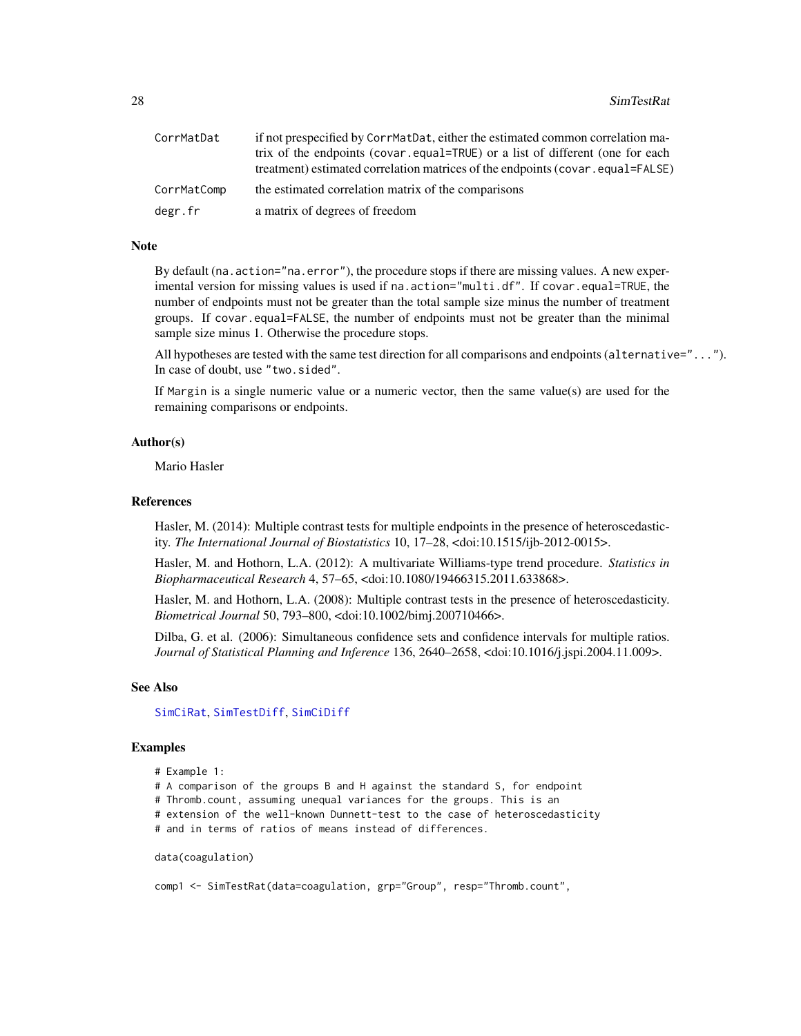<span id="page-27-0"></span>

| CorrMatDat  | if not prespecified by CorrMatDat, either the estimated common correlation ma- |
|-------------|--------------------------------------------------------------------------------|
|             | trix of the endpoints (covar, equal=TRUE) or a list of different (one for each |
|             | (reatment) estimated correlation matrices of the endpoints (covar.equal=FALSE) |
| CorrMatComp | the estimated correlation matrix of the comparisons                            |
| degr.fr     | a matrix of degrees of freedom                                                 |

# Note

By default (na.action="na.error"), the procedure stops if there are missing values. A new experimental version for missing values is used if na.action="multi.df". If covar.equal=TRUE, the number of endpoints must not be greater than the total sample size minus the number of treatment groups. If covar.equal=FALSE, the number of endpoints must not be greater than the minimal sample size minus 1. Otherwise the procedure stops.

All hypotheses are tested with the same test direction for all comparisons and endpoints (alternative="..."). In case of doubt, use "two.sided".

If Margin is a single numeric value or a numeric vector, then the same value(s) are used for the remaining comparisons or endpoints.

#### Author(s)

Mario Hasler

#### References

Hasler, M. (2014): Multiple contrast tests for multiple endpoints in the presence of heteroscedasticity. *The International Journal of Biostatistics* 10, 17–28, <doi:10.1515/ijb-2012-0015>.

Hasler, M. and Hothorn, L.A. (2012): A multivariate Williams-type trend procedure. *Statistics in Biopharmaceutical Research* 4, 57–65, <doi:10.1080/19466315.2011.633868>.

Hasler, M. and Hothorn, L.A. (2008): Multiple contrast tests in the presence of heteroscedasticity. *Biometrical Journal* 50, 793–800, <doi:10.1002/bimj.200710466>.

Dilba, G. et al. (2006): Simultaneous confidence sets and confidence intervals for multiple ratios. *Journal of Statistical Planning and Inference* 136, 2640–2658, <doi:10.1016/j.jspi.2004.11.009>.

#### See Also

#### [SimCiRat](#page-18-1), [SimTestDiff](#page-21-1), [SimCiDiff](#page-14-1)

#### Examples

```
# Example 1:
```
# A comparison of the groups B and H against the standard S, for endpoint

# Thromb.count, assuming unequal variances for the groups. This is an

# extension of the well-known Dunnett-test to the case of heteroscedasticity

# and in terms of ratios of means instead of differences.

```
data(coagulation)
```
comp1 <- SimTestRat(data=coagulation, grp="Group", resp="Thromb.count",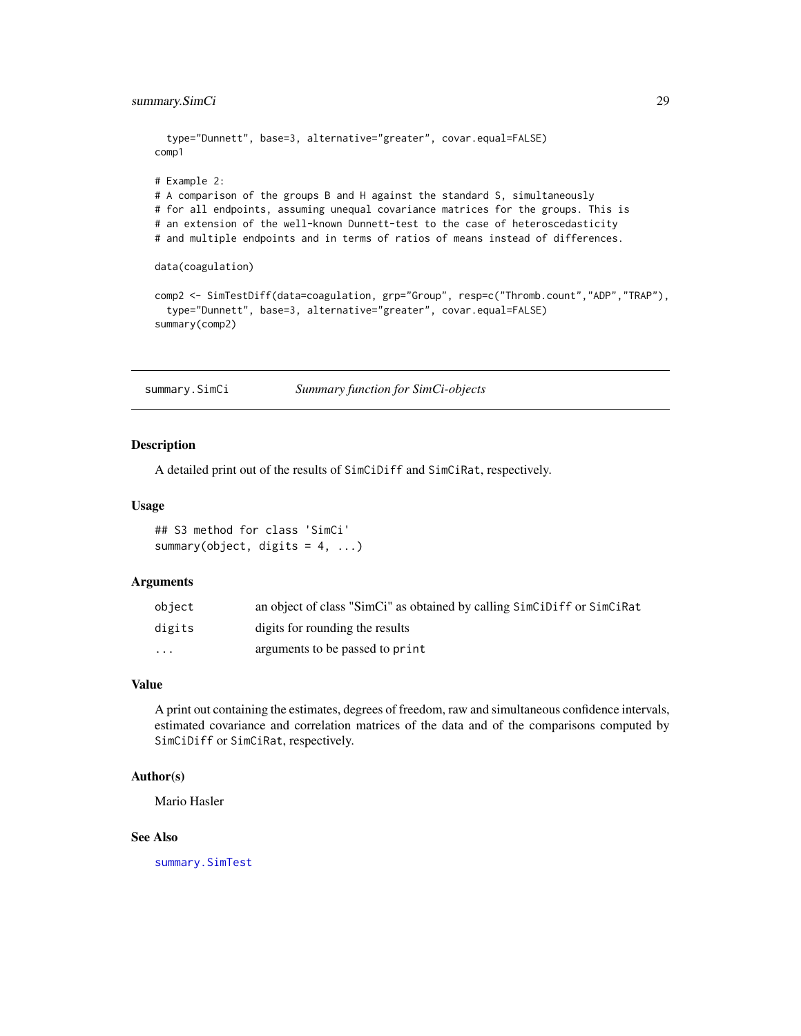```
type="Dunnett", base=3, alternative="greater", covar.equal=FALSE)
comp1
# Example 2:
# A comparison of the groups B and H against the standard S, simultaneously
# for all endpoints, assuming unequal covariance matrices for the groups. This is
# an extension of the well-known Dunnett-test to the case of heteroscedasticity
# and multiple endpoints and in terms of ratios of means instead of differences.
data(coagulation)
comp2 <- SimTestDiff(data=coagulation, grp="Group", resp=c("Thromb.count","ADP","TRAP"),
  type="Dunnett", base=3, alternative="greater", covar.equal=FALSE)
summary(comp2)
```
<span id="page-28-1"></span>summary.SimCi *Summary function for SimCi-objects*

#### **Description**

A detailed print out of the results of SimCiDiff and SimCiRat, respectively.

#### Usage

## S3 method for class 'SimCi' summary(object, digits =  $4, ...$ )

#### **Arguments**

| obiect  | an object of class "SimCi" as obtained by calling SimCiDiff or SimCiRat |
|---------|-------------------------------------------------------------------------|
| digits  | digits for rounding the results                                         |
| $\cdot$ | arguments to be passed to print                                         |

# Value

A print out containing the estimates, degrees of freedom, raw and simultaneous confidence intervals, estimated covariance and correlation matrices of the data and of the comparisons computed by SimCiDiff or SimCiRat, respectively.

#### Author(s)

Mario Hasler

# See Also

[summary.SimTest](#page-29-1)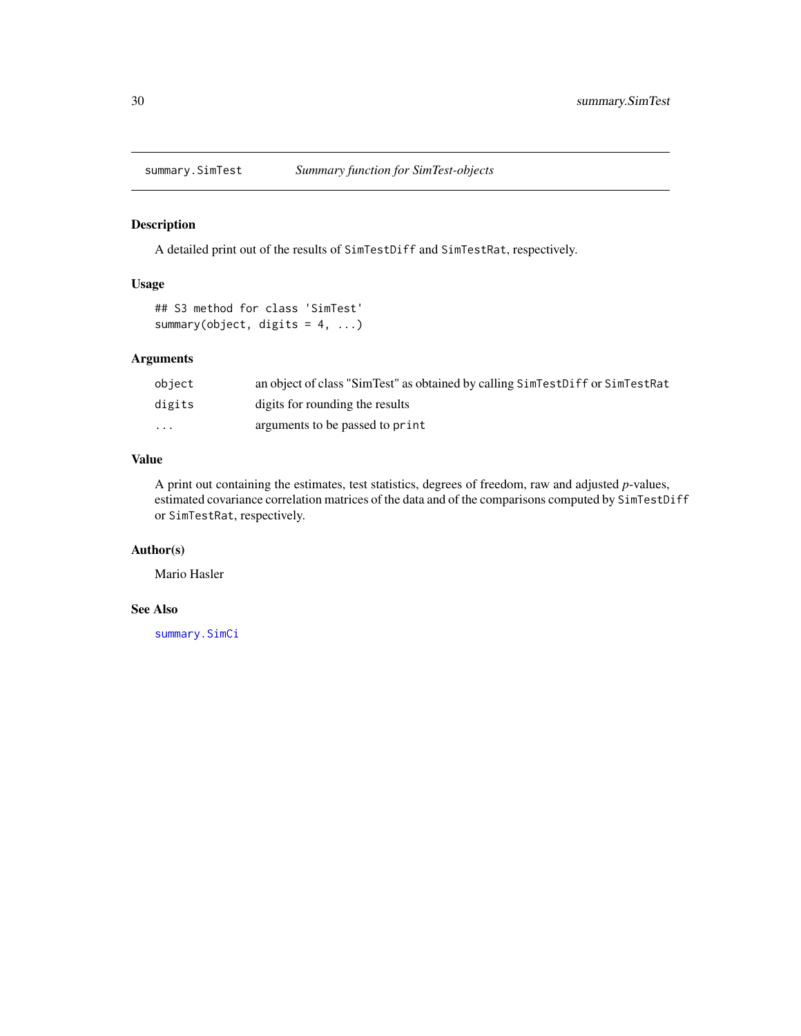<span id="page-29-1"></span><span id="page-29-0"></span>

# Description

A detailed print out of the results of SimTestDiff and SimTestRat, respectively.

# Usage

```
## S3 method for class 'SimTest'
summary(object, digits = 4, ...)
```
# Arguments

| object   | an object of class "SimTest" as obtained by calling SimTestDiff or SimTestRat |
|----------|-------------------------------------------------------------------------------|
| digits   | digits for rounding the results                                               |
| $\cdots$ | arguments to be passed to print                                               |

# Value

A print out containing the estimates, test statistics, degrees of freedom, raw and adjusted *p*-values, estimated covariance correlation matrices of the data and of the comparisons computed by SimTestDiff or SimTestRat, respectively.

# Author(s)

Mario Hasler

# See Also

[summary.SimCi](#page-28-1)